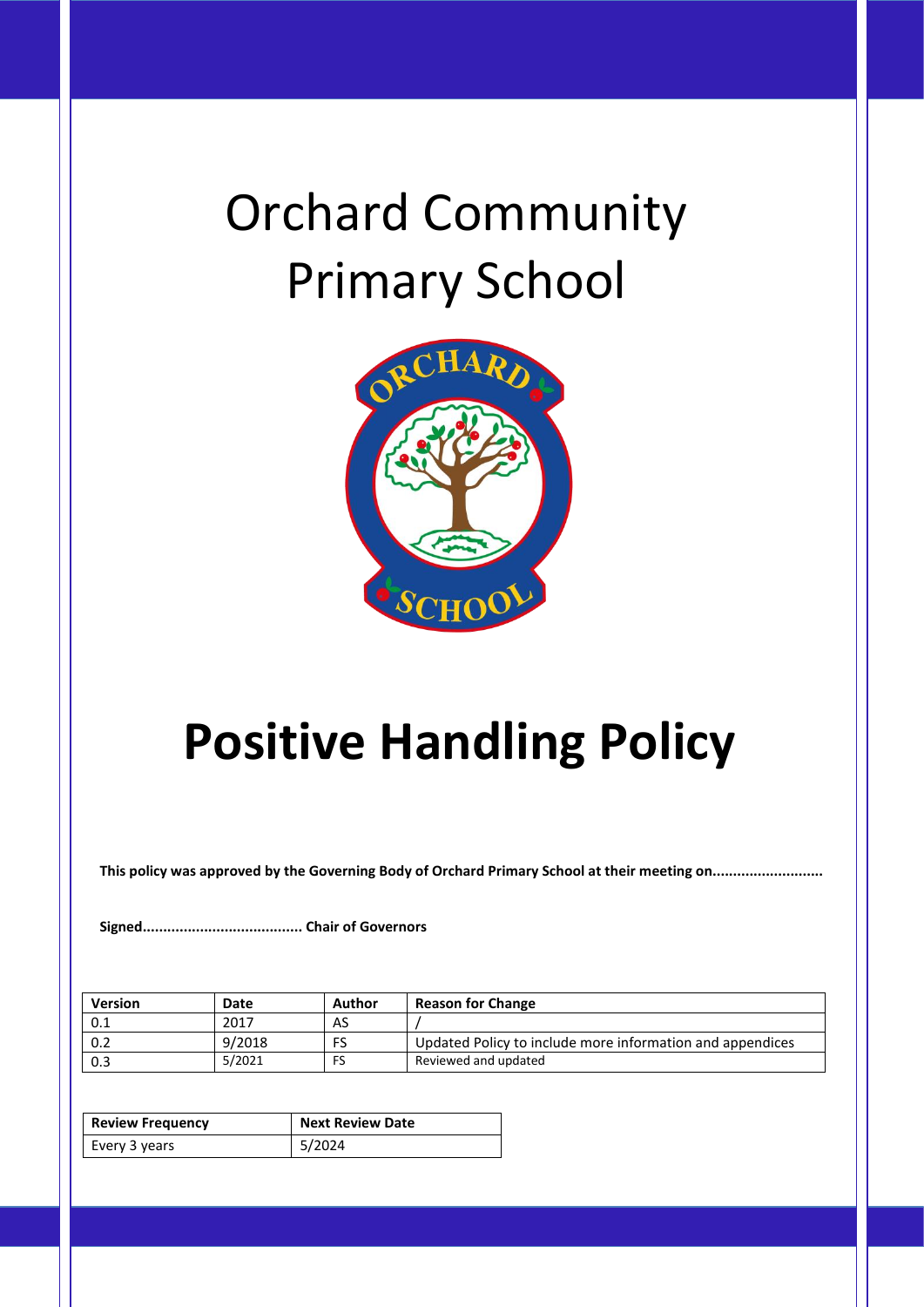# Orchard Community Primary School



# **Positive Handling Policy**

**This policy was approved by the Governing Body of Orchard Primary School at their meeting on...........................**

**Signed....................................... Chair of Governors**

| <b>Version</b> | Date   | Author | <b>Reason for Change</b>                                  |
|----------------|--------|--------|-----------------------------------------------------------|
| 0.1            | 2017   | AS     |                                                           |
| 0.2            | 9/2018 | FS     | Updated Policy to include more information and appendices |
| 0.3            | 5/2021 | FS     | Reviewed and updated                                      |

| <b>Review Frequency</b> | <b>Next Review Date</b> |
|-------------------------|-------------------------|
| Every 3 years           | 5/2024                  |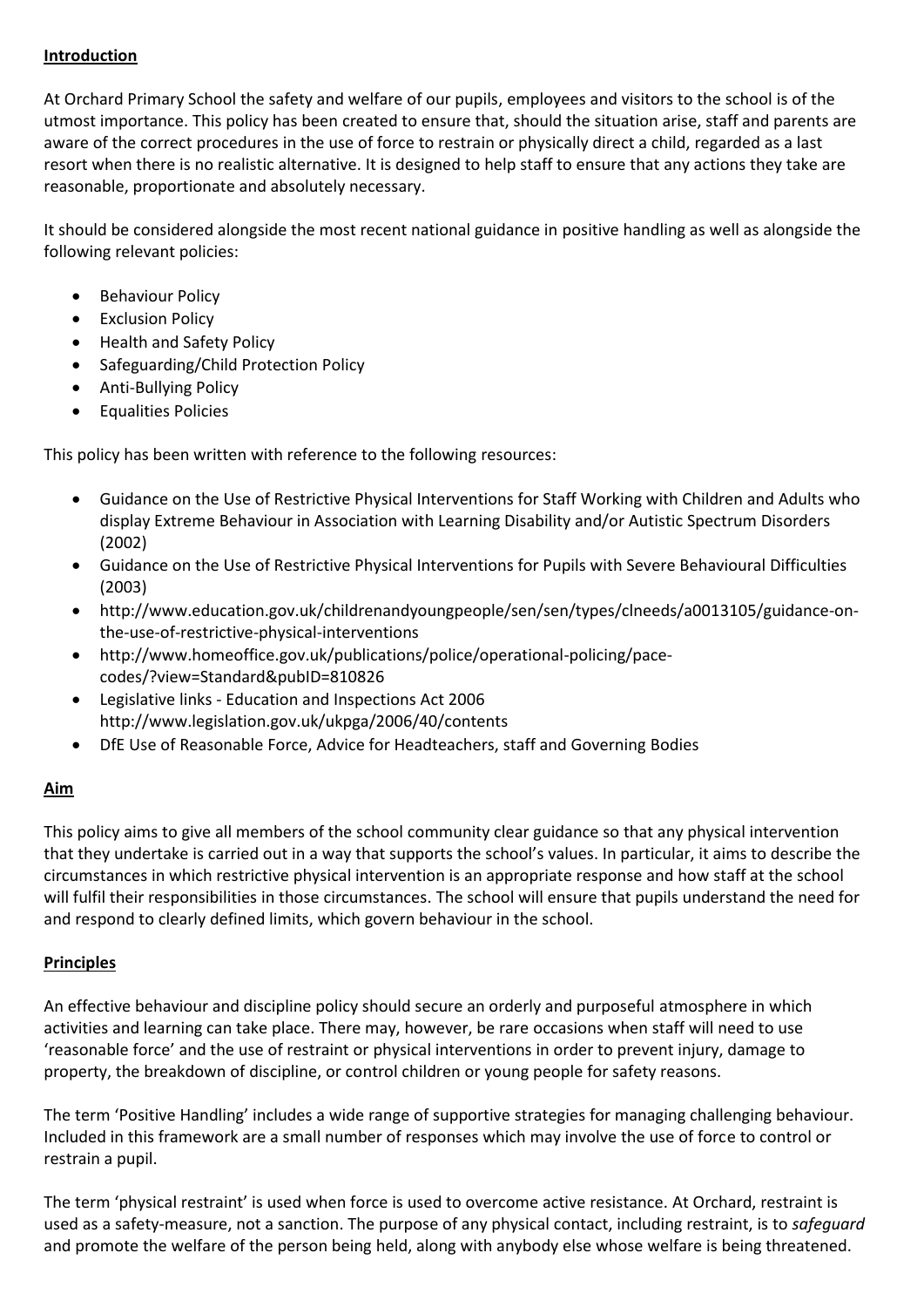#### **Introduction**

At Orchard Primary School the safety and welfare of our pupils, employees and visitors to the school is of the utmost importance. This policy has been created to ensure that, should the situation arise, staff and parents are aware of the correct procedures in the use of force to restrain or physically direct a child, regarded as a last resort when there is no realistic alternative. It is designed to help staff to ensure that any actions they take are reasonable, proportionate and absolutely necessary.

It should be considered alongside the most recent national guidance in positive handling as well as alongside the following relevant policies:

- **Behaviour Policy**
- Exclusion Policy
- Health and Safety Policy
- Safeguarding/Child Protection Policy
- Anti-Bullying Policy
- Equalities Policies

This policy has been written with reference to the following resources:

- Guidance on the Use of Restrictive Physical Interventions for Staff Working with Children and Adults who display Extreme Behaviour in Association with Learning Disability and/or Autistic Spectrum Disorders (2002)
- Guidance on the Use of Restrictive Physical Interventions for Pupils with Severe Behavioural Difficulties (2003)
- http://www.education.gov.uk/childrenandyoungpeople/sen/sen/types/clneeds/a0013105/guidance-onthe-use-of-restrictive-physical-interventions
- http://www.homeoffice.gov.uk/publications/police/operational-policing/pacecodes/?view=Standard&pubID=810826
- Legislative links Education and Inspections Act 2006 http://www.legislation.gov.uk/ukpga/2006/40/contents
- DfE Use of Reasonable Force, Advice for Headteachers, staff and Governing Bodies

# **Aim**

This policy aims to give all members of the school community clear guidance so that any physical intervention that they undertake is carried out in a way that supports the school's values. In particular, it aims to describe the circumstances in which restrictive physical intervention is an appropriate response and how staff at the school will fulfil their responsibilities in those circumstances. The school will ensure that pupils understand the need for and respond to clearly defined limits, which govern behaviour in the school.

# **Principles**

An effective behaviour and discipline policy should secure an orderly and purposeful atmosphere in which activities and learning can take place. There may, however, be rare occasions when staff will need to use 'reasonable force' and the use of restraint or physical interventions in order to prevent injury, damage to property, the breakdown of discipline, or control children or young people for safety reasons.

The term 'Positive Handling' includes a wide range of supportive strategies for managing challenging behaviour. Included in this framework are a small number of responses which may involve the use of force to control or restrain a pupil.

The term 'physical restraint' is used when force is used to overcome active resistance. At Orchard, restraint is used as a safety-measure, not a sanction. The purpose of any physical contact, including restraint, is to *safeguard*  and promote the welfare of the person being held, along with anybody else whose welfare is being threatened.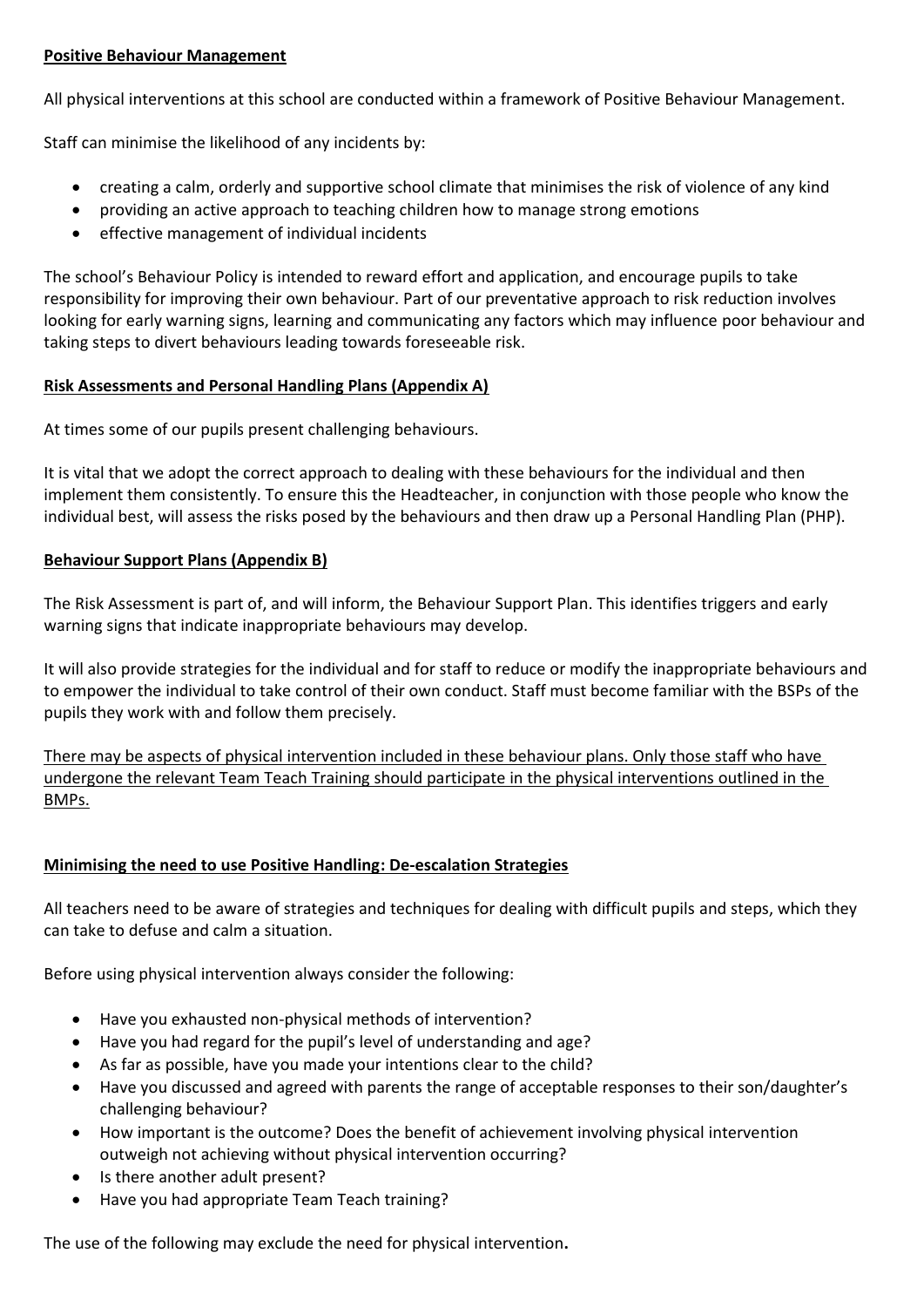#### **Positive Behaviour Management**

All physical interventions at this school are conducted within a framework of Positive Behaviour Management.

Staff can minimise the likelihood of any incidents by:

- creating a calm, orderly and supportive school climate that minimises the risk of violence of any kind
- providing an active approach to teaching children how to manage strong emotions
- effective management of individual incidents

The school's Behaviour Policy is intended to reward effort and application, and encourage pupils to take responsibility for improving their own behaviour. Part of our preventative approach to risk reduction involves looking for early warning signs, learning and communicating any factors which may influence poor behaviour and taking steps to divert behaviours leading towards foreseeable risk.

#### **Risk Assessments and Personal Handling Plans (Appendix A)**

At times some of our pupils present challenging behaviours.

It is vital that we adopt the correct approach to dealing with these behaviours for the individual and then implement them consistently. To ensure this the Headteacher, in conjunction with those people who know the individual best, will assess the risks posed by the behaviours and then draw up a Personal Handling Plan (PHP).

#### **Behaviour Support Plans (Appendix B)**

The Risk Assessment is part of, and will inform, the Behaviour Support Plan. This identifies triggers and early warning signs that indicate inappropriate behaviours may develop.

It will also provide strategies for the individual and for staff to reduce or modify the inappropriate behaviours and to empower the individual to take control of their own conduct. Staff must become familiar with the BSPs of the pupils they work with and follow them precisely.

There may be aspects of physical intervention included in these behaviour plans. Only those staff who have undergone the relevant Team Teach Training should participate in the physical interventions outlined in the BMPs.

## **Minimising the need to use Positive Handling: De-escalation Strategies**

All teachers need to be aware of strategies and techniques for dealing with difficult pupils and steps, which they can take to defuse and calm a situation.

Before using physical intervention always consider the following:

- Have you exhausted non-physical methods of intervention?
- Have you had regard for the pupil's level of understanding and age?
- As far as possible, have you made your intentions clear to the child?
- Have you discussed and agreed with parents the range of acceptable responses to their son/daughter's challenging behaviour?
- How important is the outcome? Does the benefit of achievement involving physical intervention outweigh not achieving without physical intervention occurring?
- Is there another adult present?
- Have you had appropriate Team Teach training?

The use of the following may exclude the need for physical intervention**.**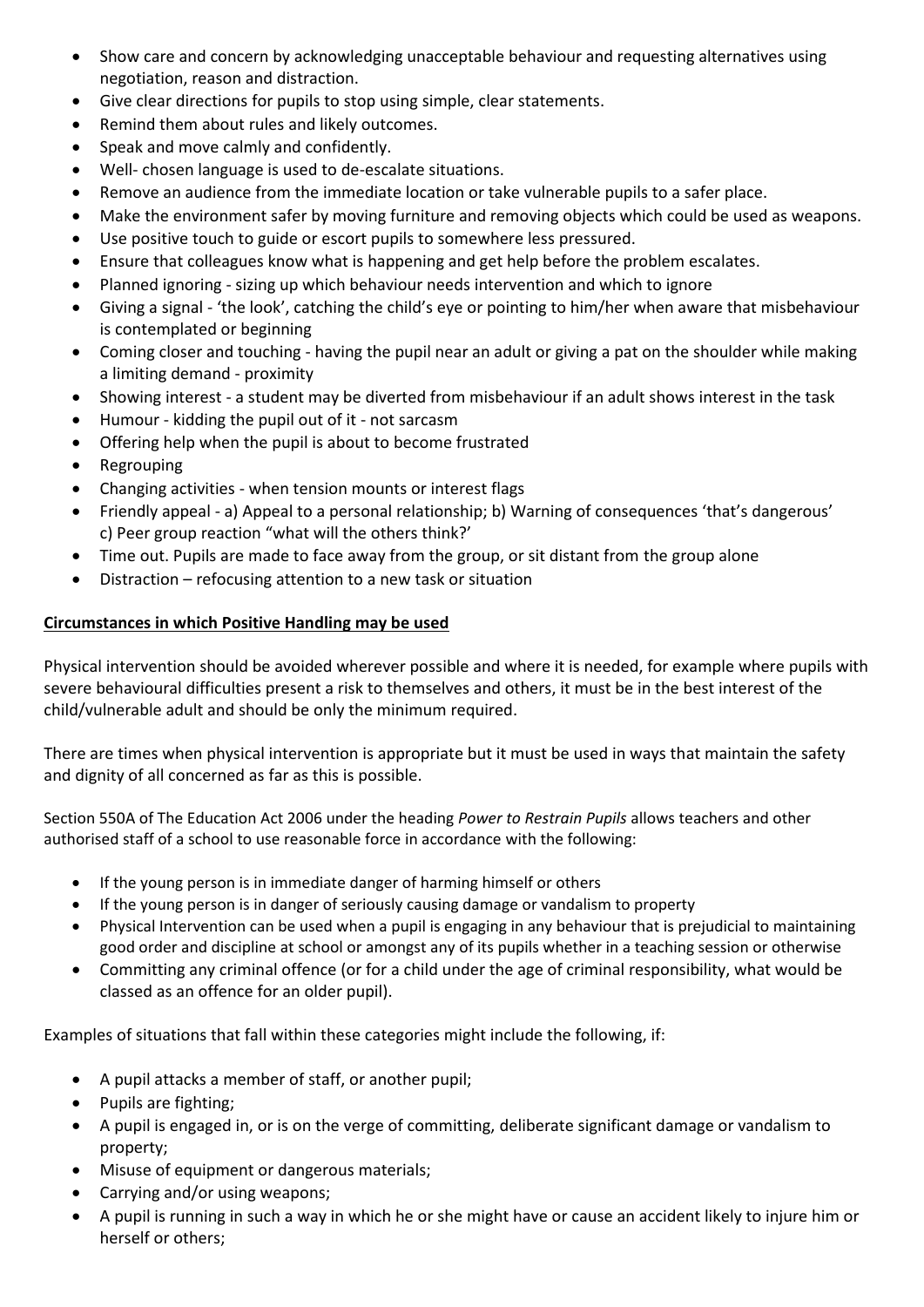- Show care and concern by acknowledging unacceptable behaviour and requesting alternatives using negotiation, reason and distraction.
- Give clear directions for pupils to stop using simple, clear statements.
- Remind them about rules and likely outcomes.
- Speak and move calmly and confidently.
- Well- chosen language is used to de-escalate situations.
- Remove an audience from the immediate location or take vulnerable pupils to a safer place.
- Make the environment safer by moving furniture and removing objects which could be used as weapons.
- Use positive touch to guide or escort pupils to somewhere less pressured.
- Ensure that colleagues know what is happening and get help before the problem escalates.
- Planned ignoring sizing up which behaviour needs intervention and which to ignore
- Giving a signal 'the look', catching the child's eye or pointing to him/her when aware that misbehaviour is contemplated or beginning
- Coming closer and touching having the pupil near an adult or giving a pat on the shoulder while making a limiting demand - proximity
- Showing interest a student may be diverted from misbehaviour if an adult shows interest in the task
- Humour kidding the pupil out of it not sarcasm
- Offering help when the pupil is about to become frustrated
- Regrouping
- Changing activities when tension mounts or interest flags
- Friendly appeal a) Appeal to a personal relationship; b) Warning of consequences 'that's dangerous' c) Peer group reaction "what will the others think?'
- Time out. Pupils are made to face away from the group, or sit distant from the group alone
- Distraction refocusing attention to a new task or situation

## **Circumstances in which Positive Handling may be used**

Physical intervention should be avoided wherever possible and where it is needed, for example where pupils with severe behavioural difficulties present a risk to themselves and others, it must be in the best interest of the child/vulnerable adult and should be only the minimum required.

There are times when physical intervention is appropriate but it must be used in ways that maintain the safety and dignity of all concerned as far as this is possible.

Section 550A of The Education Act 2006 under the heading *Power to Restrain Pupils* allows teachers and other authorised staff of a school to use reasonable force in accordance with the following:

- If the young person is in immediate danger of harming himself or others
- If the young person is in danger of seriously causing damage or vandalism to property
- Physical Intervention can be used when a pupil is engaging in any behaviour that is prejudicial to maintaining good order and discipline at school or amongst any of its pupils whether in a teaching session or otherwise
- Committing any criminal offence (or for a child under the age of criminal responsibility, what would be classed as an offence for an older pupil).

Examples of situations that fall within these categories might include the following, if:

- A pupil attacks a member of staff, or another pupil;
- Pupils are fighting;
- A pupil is engaged in, or is on the verge of committing, deliberate significant damage or vandalism to property;
- Misuse of equipment or dangerous materials;
- Carrying and/or using weapons;
- A pupil is running in such a way in which he or she might have or cause an accident likely to injure him or herself or others;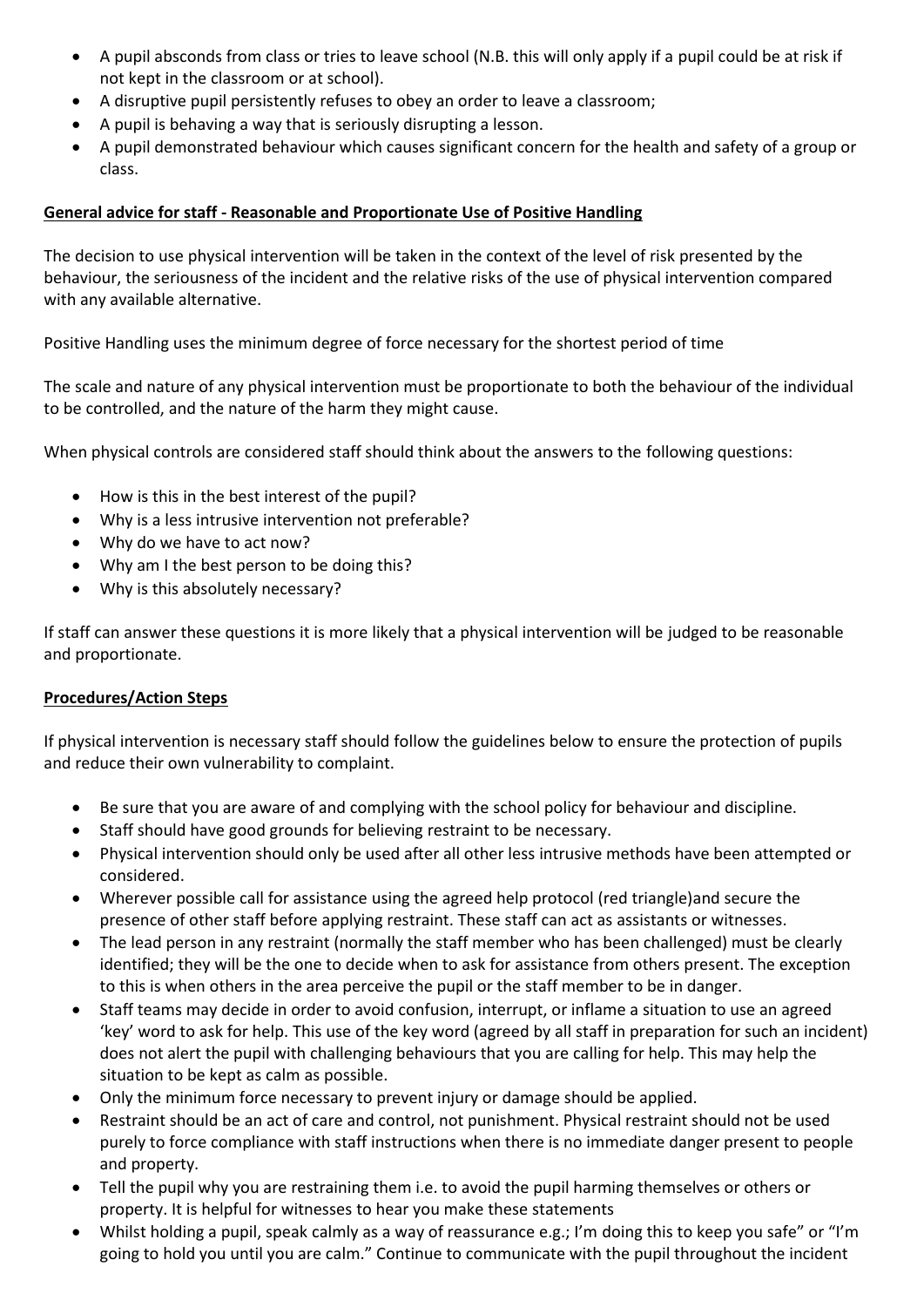- A pupil absconds from class or tries to leave school (N.B. this will only apply if a pupil could be at risk if not kept in the classroom or at school).
- A disruptive pupil persistently refuses to obey an order to leave a classroom;
- A pupil is behaving a way that is seriously disrupting a lesson.
- A pupil demonstrated behaviour which causes significant concern for the health and safety of a group or class.

#### **General advice for staff - Reasonable and Proportionate Use of Positive Handling**

The decision to use physical intervention will be taken in the context of the level of risk presented by the behaviour, the seriousness of the incident and the relative risks of the use of physical intervention compared with any available alternative.

Positive Handling uses the minimum degree of force necessary for the shortest period of time

The scale and nature of any physical intervention must be proportionate to both the behaviour of the individual to be controlled, and the nature of the harm they might cause.

When physical controls are considered staff should think about the answers to the following questions:

- How is this in the best interest of the pupil?
- Why is a less intrusive intervention not preferable?
- Why do we have to act now?
- Why am I the best person to be doing this?
- Why is this absolutely necessary?

If staff can answer these questions it is more likely that a physical intervention will be judged to be reasonable and proportionate.

#### **Procedures/Action Steps**

If physical intervention is necessary staff should follow the guidelines below to ensure the protection of pupils and reduce their own vulnerability to complaint.

- Be sure that you are aware of and complying with the school policy for behaviour and discipline.
- Staff should have good grounds for believing restraint to be necessary.
- Physical intervention should only be used after all other less intrusive methods have been attempted or considered.
- Wherever possible call for assistance using the agreed help protocol (red triangle)and secure the presence of other staff before applying restraint. These staff can act as assistants or witnesses.
- The lead person in any restraint (normally the staff member who has been challenged) must be clearly identified; they will be the one to decide when to ask for assistance from others present. The exception to this is when others in the area perceive the pupil or the staff member to be in danger.
- Staff teams may decide in order to avoid confusion, interrupt, or inflame a situation to use an agreed 'key' word to ask for help. This use of the key word (agreed by all staff in preparation for such an incident) does not alert the pupil with challenging behaviours that you are calling for help. This may help the situation to be kept as calm as possible.
- Only the minimum force necessary to prevent injury or damage should be applied.
- Restraint should be an act of care and control, not punishment. Physical restraint should not be used purely to force compliance with staff instructions when there is no immediate danger present to people and property.
- Tell the pupil why you are restraining them i.e. to avoid the pupil harming themselves or others or property. It is helpful for witnesses to hear you make these statements
- Whilst holding a pupil, speak calmly as a way of reassurance e.g.; I'm doing this to keep you safe" or "I'm going to hold you until you are calm." Continue to communicate with the pupil throughout the incident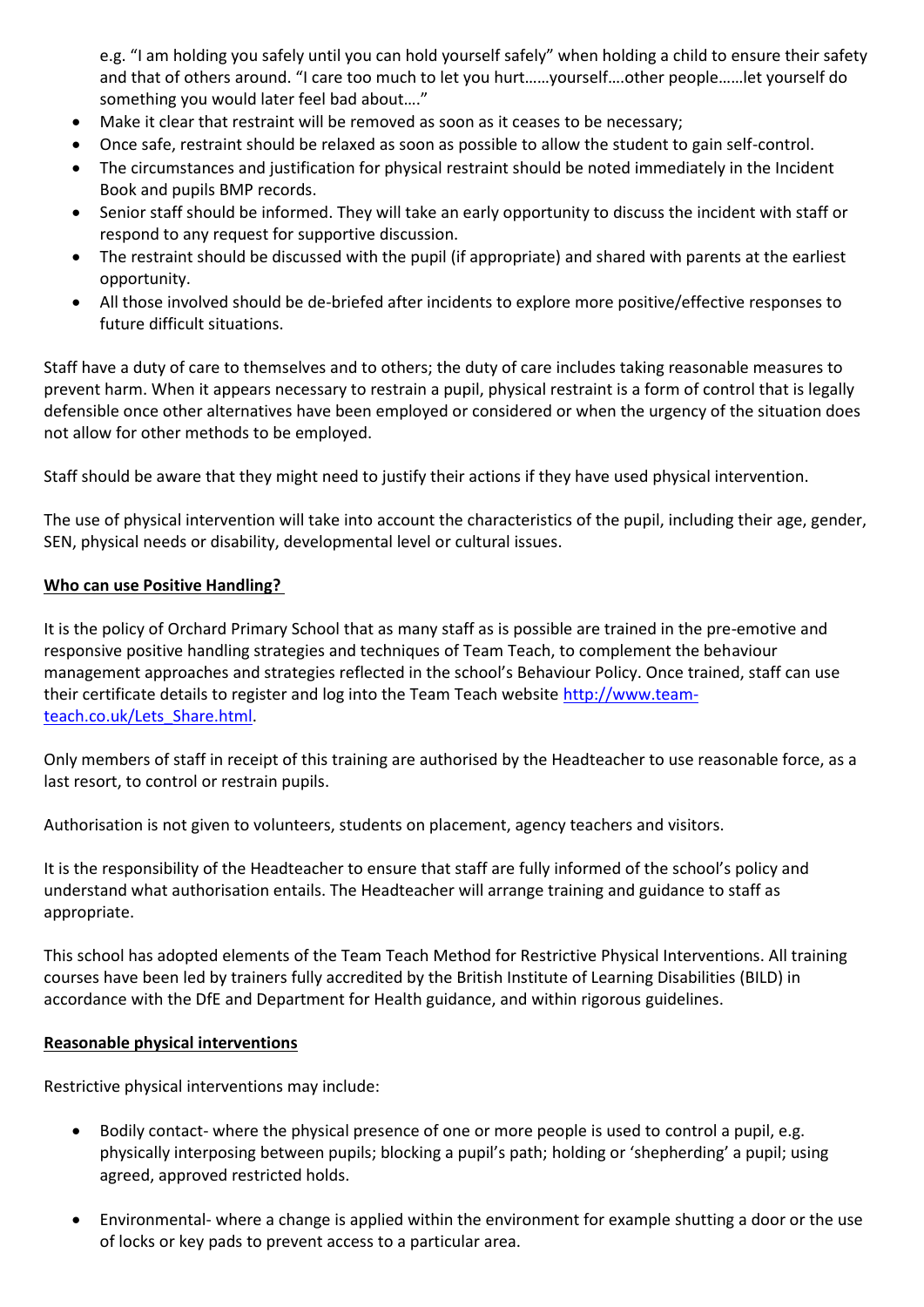e.g. "I am holding you safely until you can hold yourself safely" when holding a child to ensure their safety and that of others around. "I care too much to let you hurt……yourself….other people……let yourself do something you would later feel bad about…."

- Make it clear that restraint will be removed as soon as it ceases to be necessary;
- Once safe, restraint should be relaxed as soon as possible to allow the student to gain self-control.
- The circumstances and justification for physical restraint should be noted immediately in the Incident Book and pupils BMP records.
- Senior staff should be informed. They will take an early opportunity to discuss the incident with staff or respond to any request for supportive discussion.
- The restraint should be discussed with the pupil (if appropriate) and shared with parents at the earliest opportunity.
- All those involved should be de-briefed after incidents to explore more positive/effective responses to future difficult situations.

Staff have a duty of care to themselves and to others; the duty of care includes taking reasonable measures to prevent harm. When it appears necessary to restrain a pupil, physical restraint is a form of control that is legally defensible once other alternatives have been employed or considered or when the urgency of the situation does not allow for other methods to be employed.

Staff should be aware that they might need to justify their actions if they have used physical intervention.

The use of physical intervention will take into account the characteristics of the pupil, including their age, gender, SEN, physical needs or disability, developmental level or cultural issues.

#### **Who can use Positive Handling?**

It is the policy of Orchard Primary School that as many staff as is possible are trained in the pre-emotive and responsive positive handling strategies and techniques of Team Teach, to complement the behaviour management approaches and strategies reflected in the school's Behaviour Policy. Once trained, staff can use their certificate details to register and log into the Team Teach website [http://www.team](http://www.team-teach.co.uk/Lets_Share.html)[teach.co.uk/Lets\\_Share.html.](http://www.team-teach.co.uk/Lets_Share.html)

Only members of staff in receipt of this training are authorised by the Headteacher to use reasonable force, as a last resort, to control or restrain pupils.

Authorisation is not given to volunteers, students on placement, agency teachers and visitors.

It is the responsibility of the Headteacher to ensure that staff are fully informed of the school's policy and understand what authorisation entails. The Headteacher will arrange training and guidance to staff as appropriate.

This school has adopted elements of the Team Teach Method for Restrictive Physical Interventions. All training courses have been led by trainers fully accredited by the British Institute of Learning Disabilities (BILD) in accordance with the DfE and Department for Health guidance, and within rigorous guidelines.

#### **Reasonable physical interventions**

Restrictive physical interventions may include:

- Bodily contact- where the physical presence of one or more people is used to control a pupil, e.g. physically interposing between pupils; blocking a pupil's path; holding or 'shepherding' a pupil; using agreed, approved restricted holds.
- Environmental- where a change is applied within the environment for example shutting a door or the use of locks or key pads to prevent access to a particular area.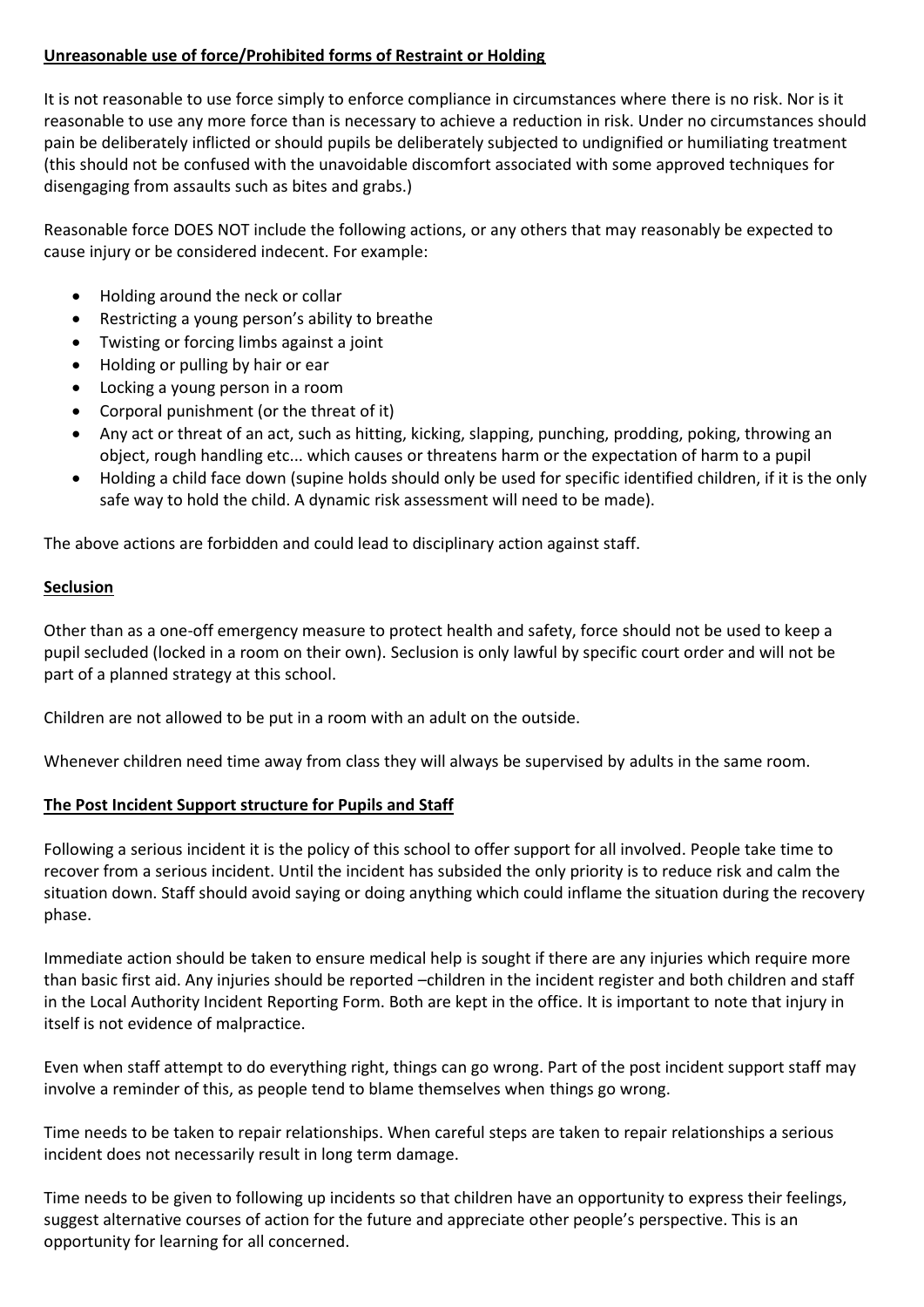### **Unreasonable use of force/Prohibited forms of Restraint or Holding**

It is not reasonable to use force simply to enforce compliance in circumstances where there is no risk. Nor is it reasonable to use any more force than is necessary to achieve a reduction in risk. Under no circumstances should pain be deliberately inflicted or should pupils be deliberately subjected to undignified or humiliating treatment (this should not be confused with the unavoidable discomfort associated with some approved techniques for disengaging from assaults such as bites and grabs.)

Reasonable force DOES NOT include the following actions, or any others that may reasonably be expected to cause injury or be considered indecent. For example:

- Holding around the neck or collar
- Restricting a young person's ability to breathe
- Twisting or forcing limbs against a joint
- Holding or pulling by hair or ear
- Locking a young person in a room
- Corporal punishment (or the threat of it)
- Any act or threat of an act, such as hitting, kicking, slapping, punching, prodding, poking, throwing an object, rough handling etc... which causes or threatens harm or the expectation of harm to a pupil
- Holding a child face down (supine holds should only be used for specific identified children, if it is the only safe way to hold the child. A dynamic risk assessment will need to be made).

The above actions are forbidden and could lead to disciplinary action against staff.

### **Seclusion**

Other than as a one-off emergency measure to protect health and safety, force should not be used to keep a pupil secluded (locked in a room on their own). Seclusion is only lawful by specific court order and will not be part of a planned strategy at this school.

Children are not allowed to be put in a room with an adult on the outside.

Whenever children need time away from class they will always be supervised by adults in the same room.

## **The Post Incident Support structure for Pupils and Staff**

Following a serious incident it is the policy of this school to offer support for all involved. People take time to recover from a serious incident. Until the incident has subsided the only priority is to reduce risk and calm the situation down. Staff should avoid saying or doing anything which could inflame the situation during the recovery phase.

Immediate action should be taken to ensure medical help is sought if there are any injuries which require more than basic first aid. Any injuries should be reported –children in the incident register and both children and staff in the Local Authority Incident Reporting Form. Both are kept in the office. It is important to note that injury in itself is not evidence of malpractice.

Even when staff attempt to do everything right, things can go wrong. Part of the post incident support staff may involve a reminder of this, as people tend to blame themselves when things go wrong.

Time needs to be taken to repair relationships. When careful steps are taken to repair relationships a serious incident does not necessarily result in long term damage.

Time needs to be given to following up incidents so that children have an opportunity to express their feelings, suggest alternative courses of action for the future and appreciate other people's perspective. This is an opportunity for learning for all concerned.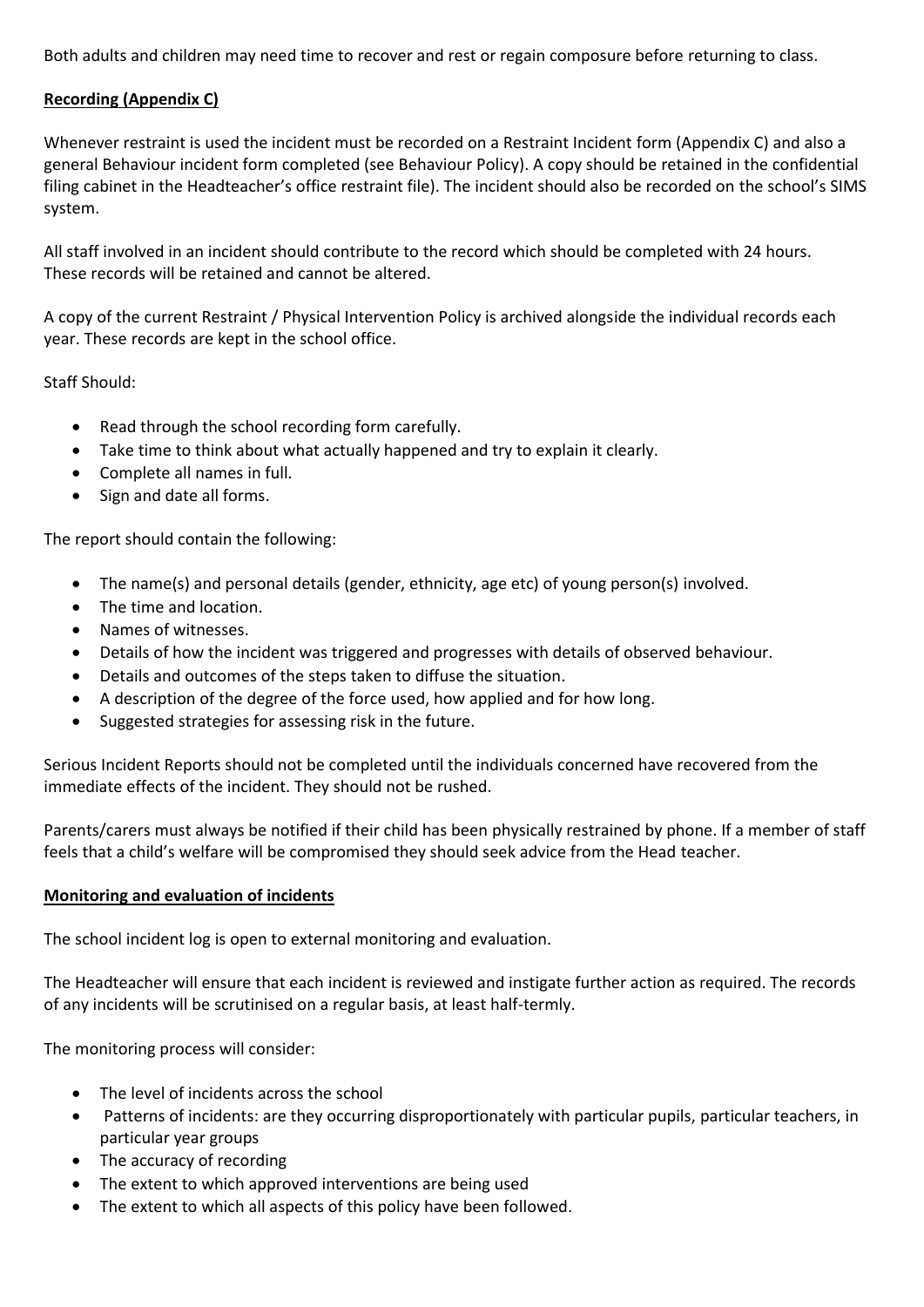Both adults and children may need time to recover and rest or regain composure before returning to class.

# **Recording (Appendix C)**

Whenever restraint is used the incident must be recorded on a Restraint Incident form (Appendix C) and also a general Behaviour incident form completed (see Behaviour Policy). A copy should be retained in the confidential filing cabinet in the Headteacher's office restraint file). The incident should also be recorded on the school's SIMS system.

All staff involved in an incident should contribute to the record which should be completed with 24 hours. These records will be retained and cannot be altered.

A copy of the current Restraint / Physical Intervention Policy is archived alongside the individual records each year. These records are kept in the school office.

Staff Should:

- Read through the school recording form carefully.
- Take time to think about what actually happened and try to explain it clearly.
- Complete all names in full.
- Sign and date all forms.

The report should contain the following:

- The name(s) and personal details (gender, ethnicity, age etc) of young person(s) involved.
- The time and location.
- Names of witnesses.
- Details of how the incident was triggered and progresses with details of observed behaviour.
- Details and outcomes of the steps taken to diffuse the situation.
- A description of the degree of the force used, how applied and for how long.
- Suggested strategies for assessing risk in the future.

Serious Incident Reports should not be completed until the individuals concerned have recovered from the immediate effects of the incident. They should not be rushed.

Parents/carers must always be notified if their child has been physically restrained by phone. If a member of staff feels that a child's welfare will be compromised they should seek advice from the Head teacher.

#### **Monitoring and evaluation of incidents**

The school incident log is open to external monitoring and evaluation.

The Headteacher will ensure that each incident is reviewed and instigate further action as required. The records of any incidents will be scrutinised on a regular basis, at least half-termly.

The monitoring process will consider:

- The level of incidents across the school
- Patterns of incidents: are they occurring disproportionately with particular pupils, particular teachers, in particular year groups
- The accuracy of recording
- The extent to which approved interventions are being used
- The extent to which all aspects of this policy have been followed.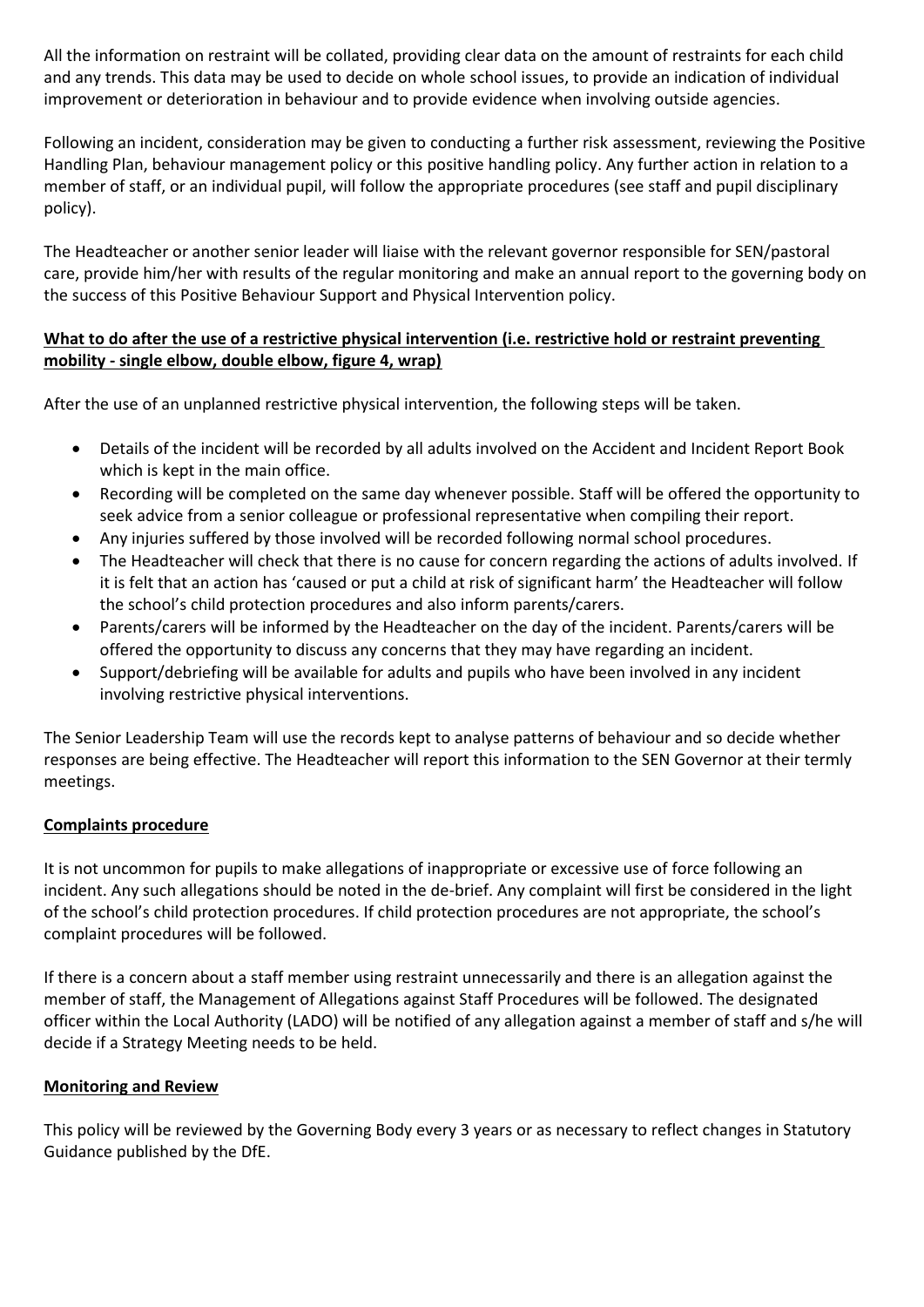All the information on restraint will be collated, providing clear data on the amount of restraints for each child and any trends. This data may be used to decide on whole school issues, to provide an indication of individual improvement or deterioration in behaviour and to provide evidence when involving outside agencies.

Following an incident, consideration may be given to conducting a further risk assessment, reviewing the Positive Handling Plan, behaviour management policy or this positive handling policy. Any further action in relation to a member of staff, or an individual pupil, will follow the appropriate procedures (see staff and pupil disciplinary policy).

The Headteacher or another senior leader will liaise with the relevant governor responsible for SEN/pastoral care, provide him/her with results of the regular monitoring and make an annual report to the governing body on the success of this Positive Behaviour Support and Physical Intervention policy.

## **What to do after the use of a restrictive physical intervention (i.e. restrictive hold or restraint preventing mobility - single elbow, double elbow, figure 4, wrap)**

After the use of an unplanned restrictive physical intervention, the following steps will be taken.

- Details of the incident will be recorded by all adults involved on the Accident and Incident Report Book which is kept in the main office.
- Recording will be completed on the same day whenever possible. Staff will be offered the opportunity to seek advice from a senior colleague or professional representative when compiling their report.
- Any injuries suffered by those involved will be recorded following normal school procedures.
- The Headteacher will check that there is no cause for concern regarding the actions of adults involved. If it is felt that an action has 'caused or put a child at risk of significant harm' the Headteacher will follow the school's child protection procedures and also inform parents/carers.
- Parents/carers will be informed by the Headteacher on the day of the incident. Parents/carers will be offered the opportunity to discuss any concerns that they may have regarding an incident.
- Support/debriefing will be available for adults and pupils who have been involved in any incident involving restrictive physical interventions.

The Senior Leadership Team will use the records kept to analyse patterns of behaviour and so decide whether responses are being effective. The Headteacher will report this information to the SEN Governor at their termly meetings.

## **Complaints procedure**

It is not uncommon for pupils to make allegations of inappropriate or excessive use of force following an incident. Any such allegations should be noted in the de-brief. Any complaint will first be considered in the light of the school's child protection procedures. If child protection procedures are not appropriate, the school's complaint procedures will be followed.

If there is a concern about a staff member using restraint unnecessarily and there is an allegation against the member of staff, the Management of Allegations against Staff Procedures will be followed. The designated officer within the Local Authority (LADO) will be notified of any allegation against a member of staff and s/he will decide if a Strategy Meeting needs to be held.

## **Monitoring and Review**

This policy will be reviewed by the Governing Body every 3 years or as necessary to reflect changes in Statutory Guidance published by the DfE.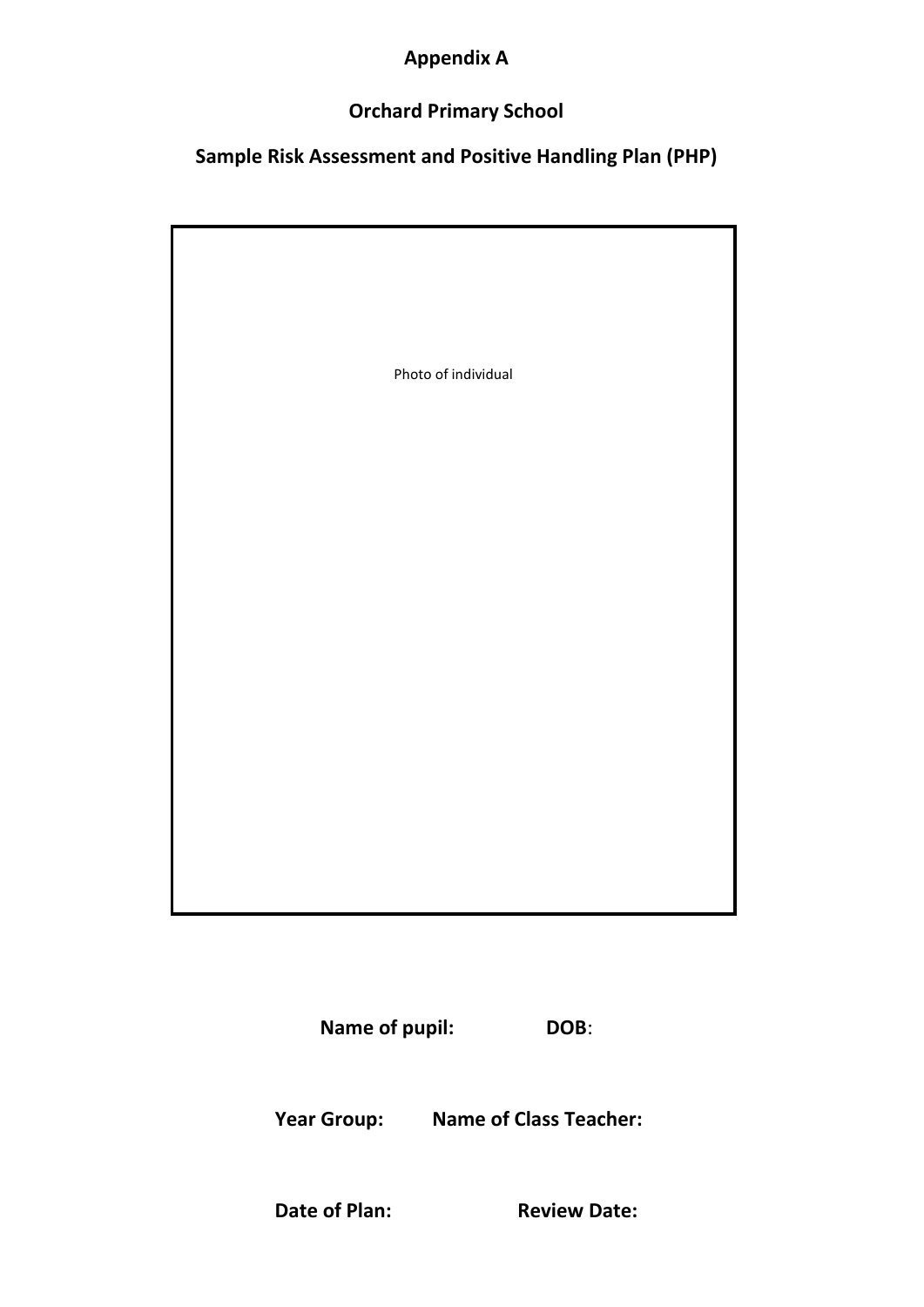# **Appendix A**

# **Orchard Primary School**

# **Sample Risk Assessment and Positive Handling Plan (PHP)**

| Photo of individual |
|---------------------|
|                     |
|                     |
|                     |
|                     |

**Name of pupil: DOB**:

**Year Group: Name of Class Teacher:**

**Date of Plan: Review Date:**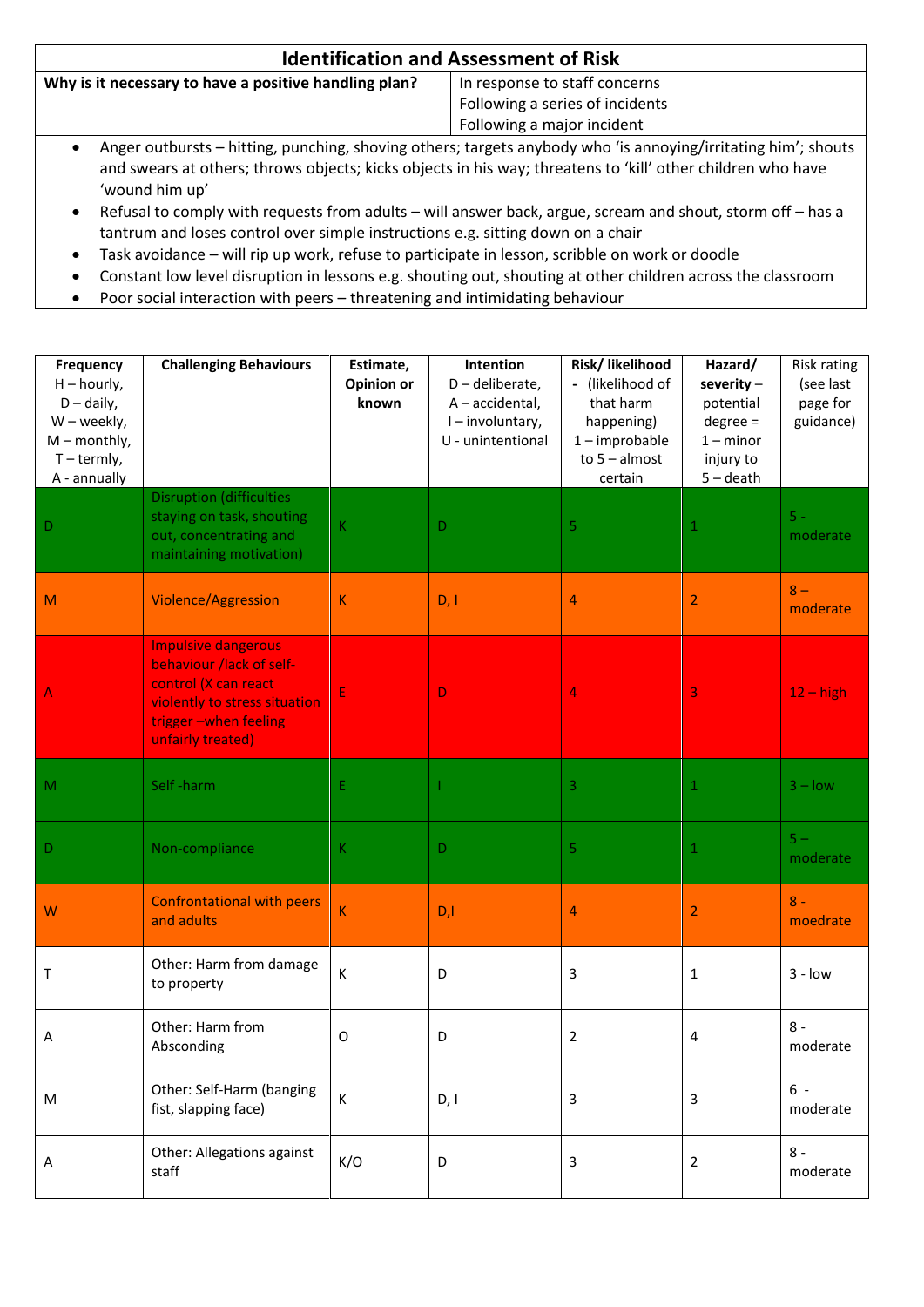| <b>Identification and Assessment of Risk</b>                                                                                                                                                                                                   |                                 |  |
|------------------------------------------------------------------------------------------------------------------------------------------------------------------------------------------------------------------------------------------------|---------------------------------|--|
| Why is it necessary to have a positive handling plan?<br>In response to staff concerns                                                                                                                                                         |                                 |  |
|                                                                                                                                                                                                                                                | Following a series of incidents |  |
|                                                                                                                                                                                                                                                | Following a major incident      |  |
| Anger outbursts - hitting, punching, shoving others; targets anybody who 'is annoying/irritating him'; shouts<br>and swears at others; throws objects; kicks objects in his way; threatens to 'kill' other children who have<br>'wound him up' |                                 |  |

- Refusal to comply with requests from adults will answer back, argue, scream and shout, storm off has a tantrum and loses control over simple instructions e.g. sitting down on a chair
- Task avoidance will rip up work, refuse to participate in lesson, scribble on work or doodle
- Constant low level disruption in lessons e.g. shouting out, shouting at other children across the classroom
- Poor social interaction with peers threatening and intimidating behaviour

| <b>Frequency</b><br>$H -$ hourly,<br>$D - daily$ ,<br>W - weekly,<br>$M$ – monthly,<br>$T - termly,$<br>A - annually | <b>Challenging Behaviours</b>                                                                                                                                | Estimate,<br><b>Opinion or</b><br>known | Intention<br>D-deliberate,<br>A - accidental,<br>I-involuntary,<br>U - unintentional | Risk/ likelihood<br>- (likelihood of<br>that harm<br>happening)<br>$1 -$ improbable<br>to $5 -$ almost<br>certain | Hazard/<br>severity $-$<br>potential<br>$degree =$<br>$1 -$ minor<br>injury to<br>$5 -$ death | <b>Risk rating</b><br>(see last<br>page for<br>guidance) |
|----------------------------------------------------------------------------------------------------------------------|--------------------------------------------------------------------------------------------------------------------------------------------------------------|-----------------------------------------|--------------------------------------------------------------------------------------|-------------------------------------------------------------------------------------------------------------------|-----------------------------------------------------------------------------------------------|----------------------------------------------------------|
| D                                                                                                                    | <b>Disruption (difficulties</b><br>staying on task, shouting<br>out, concentrating and<br>maintaining motivation)                                            | К                                       | D                                                                                    | 5                                                                                                                 | 1                                                                                             | $5 -$<br>moderate                                        |
| M                                                                                                                    | Violence/Aggression                                                                                                                                          | K                                       | D, I                                                                                 | 4                                                                                                                 | $\overline{2}$                                                                                | $8 -$<br>moderate                                        |
| Α                                                                                                                    | <b>Impulsive dangerous</b><br>behaviour /lack of self-<br>control (X can react<br>violently to stress situation<br>trigger-when feeling<br>unfairly treated) | Ε                                       | D                                                                                    | 4                                                                                                                 | 3                                                                                             | $12 - high$                                              |
| M                                                                                                                    | Self-harm                                                                                                                                                    | Ε                                       |                                                                                      | $\ensuremath{\mathsf{3}}$                                                                                         | 1                                                                                             | $3 - low$                                                |
| D                                                                                                                    | Non-compliance                                                                                                                                               | К                                       | D                                                                                    | 5                                                                                                                 | 1                                                                                             | $5 -$<br>moderate                                        |
| W                                                                                                                    | <b>Confrontational with peers</b><br>and adults                                                                                                              | $\overline{\mathsf{K}}$                 | D, I                                                                                 | 4                                                                                                                 | $\overline{2}$                                                                                | $8 -$<br>moedrate                                        |
| Τ                                                                                                                    | Other: Harm from damage<br>to property                                                                                                                       | К                                       | D                                                                                    | 3                                                                                                                 | 1                                                                                             | $3 - low$                                                |
| Α                                                                                                                    | Other: Harm from<br>Absconding                                                                                                                               | O                                       | D                                                                                    | $\overline{2}$                                                                                                    | 4                                                                                             | $8 -$<br>moderate                                        |
| M                                                                                                                    | Other: Self-Harm (banging<br>fist, slapping face)                                                                                                            | $\sf K$                                 | D, I                                                                                 | 3                                                                                                                 | 3                                                                                             | $6 -$<br>moderate                                        |
| Α                                                                                                                    | Other: Allegations against<br>staff                                                                                                                          | K/O                                     | $\mathsf D$                                                                          | 3                                                                                                                 | $\overline{2}$                                                                                | $8 -$<br>moderate                                        |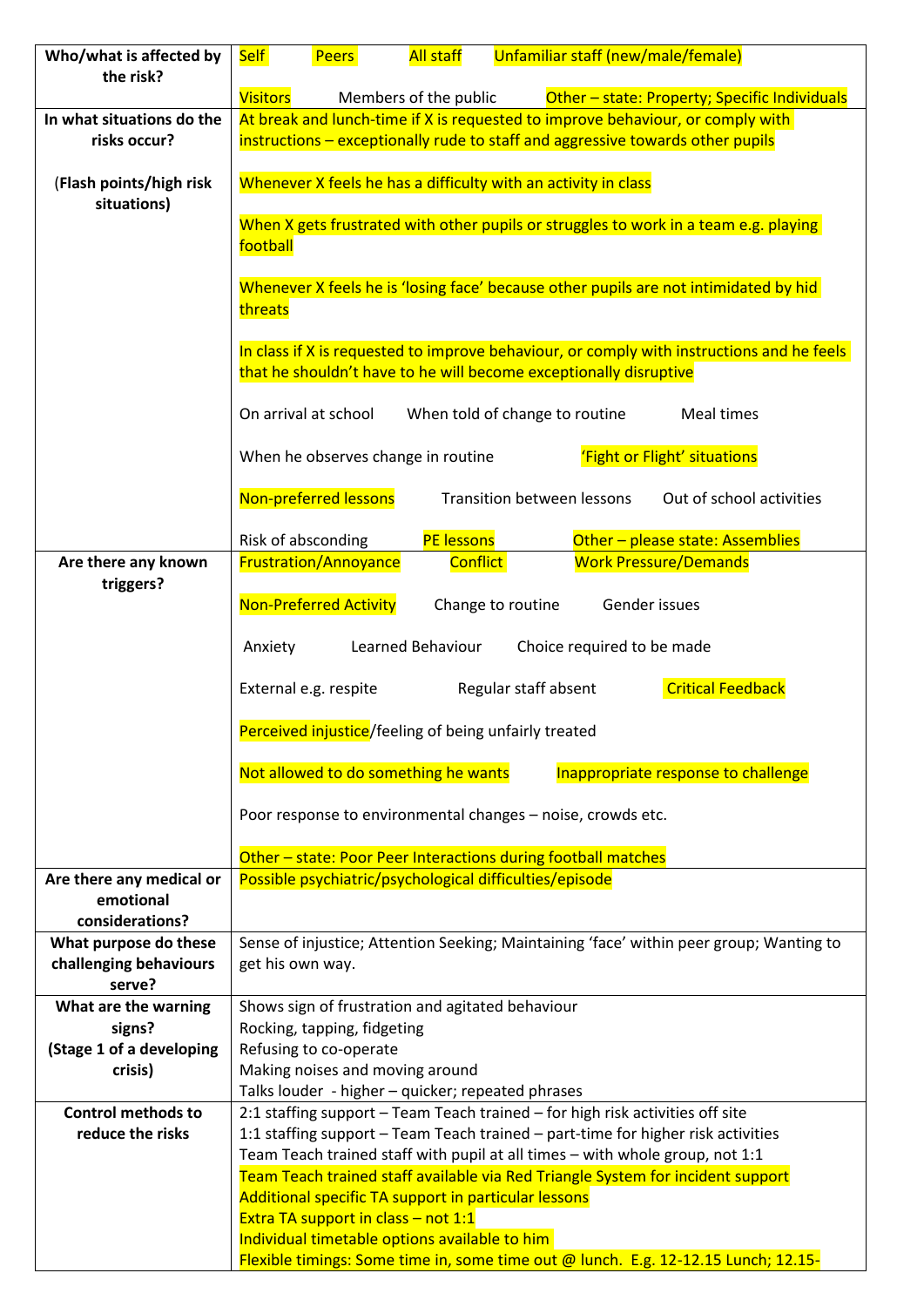| Who/what is affected by                                  | <b>Self</b>                                                                                                                                                    | <b>Peers</b>                  | <b>All staff</b>                                                                            | Unfamiliar staff (new/male/female)                                            |                                                                                      |
|----------------------------------------------------------|----------------------------------------------------------------------------------------------------------------------------------------------------------------|-------------------------------|---------------------------------------------------------------------------------------------|-------------------------------------------------------------------------------|--------------------------------------------------------------------------------------|
| the risk?                                                |                                                                                                                                                                |                               |                                                                                             |                                                                               |                                                                                      |
|                                                          | <b>Visitors</b>                                                                                                                                                |                               | Members of the public                                                                       |                                                                               | Other - state: Property; Specific Individuals                                        |
| In what situations do the                                |                                                                                                                                                                |                               |                                                                                             |                                                                               | At break and lunch-time if X is requested to improve behaviour, or comply with       |
| risks occur?                                             | instructions - exceptionally rude to staff and aggressive towards other pupils                                                                                 |                               |                                                                                             |                                                                               |                                                                                      |
| (Flash points/high risk<br>situations)                   | Whenever X feels he has a difficulty with an activity in class                                                                                                 |                               |                                                                                             |                                                                               |                                                                                      |
|                                                          |                                                                                                                                                                |                               |                                                                                             |                                                                               | When X gets frustrated with other pupils or struggles to work in a team e.g. playing |
|                                                          | football                                                                                                                                                       |                               |                                                                                             |                                                                               |                                                                                      |
|                                                          |                                                                                                                                                                |                               |                                                                                             |                                                                               |                                                                                      |
|                                                          | Whenever X feels he is 'losing face' because other pupils are not intimidated by hid<br>threats                                                                |                               |                                                                                             |                                                                               |                                                                                      |
|                                                          | In class if X is requested to improve behaviour, or comply with instructions and he feels<br>that he shouldn't have to he will become exceptionally disruptive |                               |                                                                                             |                                                                               |                                                                                      |
|                                                          |                                                                                                                                                                | On arrival at school          |                                                                                             | When told of change to routine                                                | Meal times                                                                           |
|                                                          |                                                                                                                                                                |                               | When he observes change in routine                                                          |                                                                               | 'Fight or Flight' situations                                                         |
|                                                          |                                                                                                                                                                | Non-preferred lessons         |                                                                                             | <b>Transition between lessons</b>                                             | Out of school activities                                                             |
|                                                          |                                                                                                                                                                | Risk of absconding            | <b>PE lessons</b>                                                                           |                                                                               | Other - please state: Assemblies                                                     |
| Are there any known<br>triggers?                         |                                                                                                                                                                | <b>Frustration/Annoyance</b>  | <b>Conflict</b>                                                                             |                                                                               | <b>Work Pressure/Demands</b>                                                         |
|                                                          |                                                                                                                                                                | <b>Non-Preferred Activity</b> |                                                                                             | Change to routine                                                             | Gender issues                                                                        |
|                                                          | Anxiety                                                                                                                                                        |                               | Learned Behaviour                                                                           | Choice required to be made                                                    |                                                                                      |
|                                                          |                                                                                                                                                                | External e.g. respite         |                                                                                             | Regular staff absent                                                          | <b>Critical Feedback</b>                                                             |
|                                                          | Perceived injustice/feeling of being unfairly treated                                                                                                          |                               |                                                                                             |                                                                               |                                                                                      |
|                                                          | Not allowed to do something he wants<br>Inappropriate response to challenge                                                                                    |                               |                                                                                             |                                                                               |                                                                                      |
|                                                          | Poor response to environmental changes - noise, crowds etc.                                                                                                    |                               |                                                                                             |                                                                               |                                                                                      |
|                                                          |                                                                                                                                                                |                               |                                                                                             | Other - state: Poor Peer Interactions during football matches                 |                                                                                      |
| Are there any medical or<br>emotional<br>considerations? |                                                                                                                                                                |                               |                                                                                             | Possible psychiatric/psychological difficulties/episode                       |                                                                                      |
| What purpose do these                                    | Sense of injustice; Attention Seeking; Maintaining 'face' within peer group; Wanting to                                                                        |                               |                                                                                             |                                                                               |                                                                                      |
| challenging behaviours<br>serve?                         | get his own way.                                                                                                                                               |                               |                                                                                             |                                                                               |                                                                                      |
| What are the warning                                     |                                                                                                                                                                |                               | Shows sign of frustration and agitated behaviour                                            |                                                                               |                                                                                      |
| signs?                                                   | Rocking, tapping, fidgeting                                                                                                                                    |                               |                                                                                             |                                                                               |                                                                                      |
| (Stage 1 of a developing                                 | Refusing to co-operate                                                                                                                                         |                               |                                                                                             |                                                                               |                                                                                      |
| crisis)                                                  |                                                                                                                                                                |                               | Making noises and moving around                                                             |                                                                               |                                                                                      |
|                                                          |                                                                                                                                                                |                               | Talks louder - higher - quicker; repeated phrases                                           |                                                                               |                                                                                      |
| <b>Control methods to</b>                                |                                                                                                                                                                |                               |                                                                                             | 2:1 staffing support - Team Teach trained - for high risk activities off site |                                                                                      |
| reduce the risks                                         |                                                                                                                                                                |                               |                                                                                             |                                                                               | 1:1 staffing support - Team Teach trained - part-time for higher risk activities     |
|                                                          |                                                                                                                                                                |                               |                                                                                             | Team Teach trained staff with pupil at all times - with whole group, not 1:1  |                                                                                      |
|                                                          |                                                                                                                                                                |                               |                                                                                             |                                                                               | Team Teach trained staff available via Red Triangle System for incident support      |
|                                                          |                                                                                                                                                                |                               | Additional specific TA support in particular lessons<br>Extra TA support in class - not 1:1 |                                                                               |                                                                                      |
|                                                          |                                                                                                                                                                |                               | Individual timetable options available to him                                               |                                                                               |                                                                                      |
|                                                          |                                                                                                                                                                |                               |                                                                                             |                                                                               | Flexible timings: Some time in, some time out @ lunch. E.g. 12-12.15 Lunch; 12.15-   |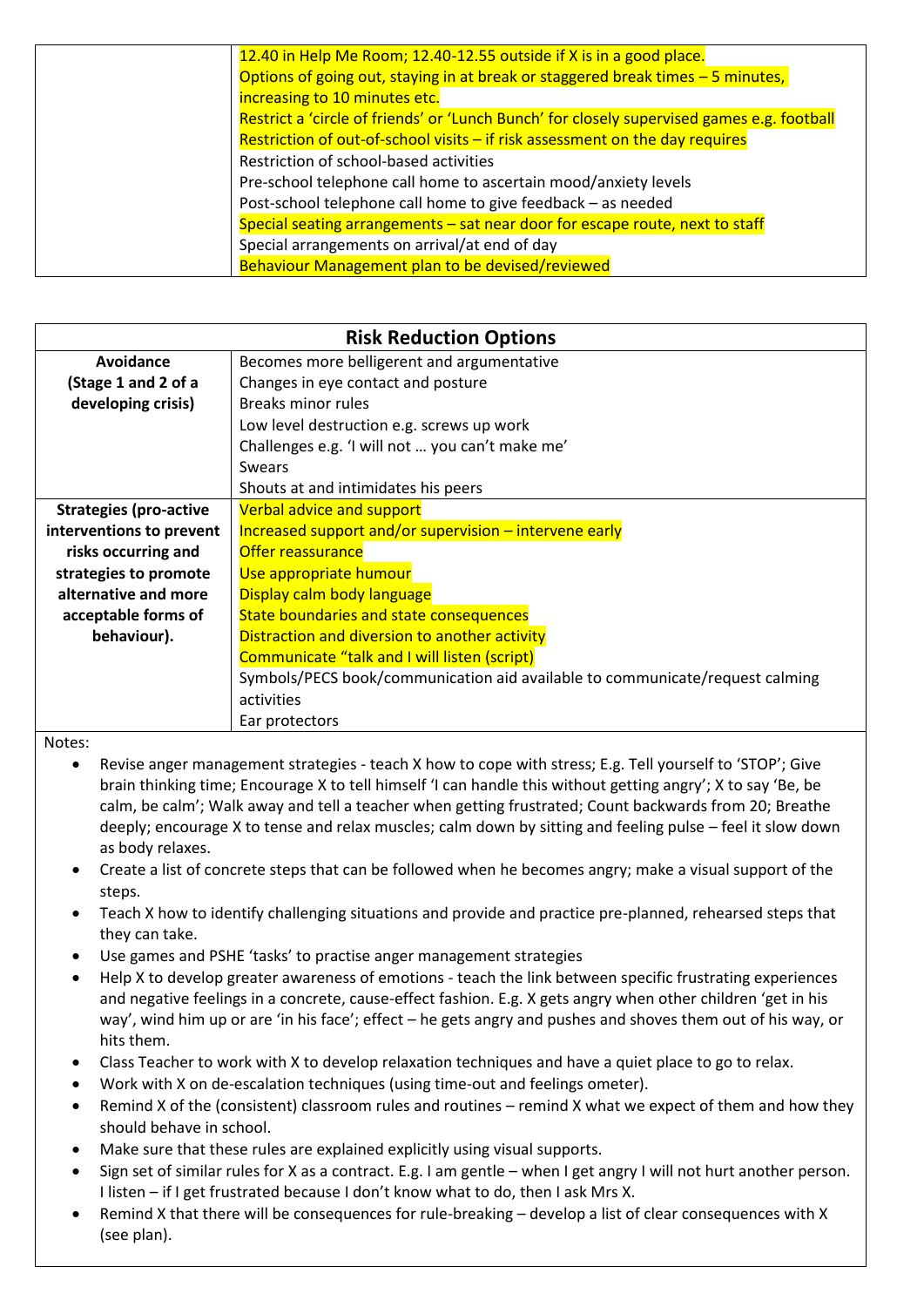| 12.40 in Help Me Room; 12.40-12.55 outside if X is in a good place.                        |
|--------------------------------------------------------------------------------------------|
| Options of going out, staying in at break or staggered break times - 5 minutes,            |
| increasing to 10 minutes etc.                                                              |
| Restrict a 'circle of friends' or 'Lunch Bunch' for closely supervised games e.g. football |
| Restriction of out-of-school visits $-$ if risk assessment on the day requires             |
| Restriction of school-based activities                                                     |
| Pre-school telephone call home to ascertain mood/anxiety levels                            |
| Post-school telephone call home to give feedback - as needed                               |
| Special seating arrangements - sat near door for escape route, next to staff               |
| Special arrangements on arrival/at end of day                                              |
| Behaviour Management plan to be devised/reviewed                                           |

| <b>Risk Reduction Options</b> |                                                                              |  |  |
|-------------------------------|------------------------------------------------------------------------------|--|--|
| Avoidance                     | Becomes more belligerent and argumentative                                   |  |  |
| (Stage 1 and 2 of a           | Changes in eye contact and posture                                           |  |  |
| developing crisis)            | Breaks minor rules                                                           |  |  |
|                               | Low level destruction e.g. screws up work                                    |  |  |
|                               | Challenges e.g. 'I will not  you can't make me'                              |  |  |
|                               | <b>Swears</b>                                                                |  |  |
|                               | Shouts at and intimidates his peers                                          |  |  |
| <b>Strategies (pro-active</b> | Verbal advice and support                                                    |  |  |
| interventions to prevent      | Increased support and/or supervision - intervene early                       |  |  |
| risks occurring and           | <b>Offer reassurance</b>                                                     |  |  |
| strategies to promote         | Use appropriate humour                                                       |  |  |
| alternative and more          | Display calm body language                                                   |  |  |
| acceptable forms of           | State boundaries and state consequences                                      |  |  |
| behaviour).                   | Distraction and diversion to another activity                                |  |  |
|                               | Communicate "talk and I will listen (script)                                 |  |  |
|                               | Symbols/PECS book/communication aid available to communicate/request calming |  |  |
|                               | activities                                                                   |  |  |
|                               | Ear protectors                                                               |  |  |

#### Notes:

- Revise anger management strategies teach X how to cope with stress; E.g. Tell yourself to 'STOP'; Give brain thinking time; Encourage X to tell himself 'I can handle this without getting angry'; X to say 'Be, be calm, be calm'; Walk away and tell a teacher when getting frustrated; Count backwards from 20; Breathe deeply; encourage X to tense and relax muscles; calm down by sitting and feeling pulse – feel it slow down as body relaxes.
- Create a list of concrete steps that can be followed when he becomes angry; make a visual support of the steps.
- Teach X how to identify challenging situations and provide and practice pre-planned, rehearsed steps that they can take.
- Use games and PSHE 'tasks' to practise anger management strategies
- Help X to develop greater awareness of emotions teach the link between specific frustrating experiences and negative feelings in a concrete, cause-effect fashion. E.g. X gets angry when other children 'get in his way', wind him up or are 'in his face'; effect – he gets angry and pushes and shoves them out of his way, or hits them.
- Class Teacher to work with X to develop relaxation techniques and have a quiet place to go to relax.
- Work with X on de-escalation techniques (using time-out and feelings ometer).
- Remind X of the (consistent) classroom rules and routines remind X what we expect of them and how they should behave in school.
- Make sure that these rules are explained explicitly using visual supports.
- Sign set of similar rules for X as a contract. E.g. I am gentle when I get angry I will not hurt another person. I listen – if I get frustrated because I don't know what to do, then I ask Mrs X.
- Remind X that there will be consequences for rule-breaking develop a list of clear consequences with X (see plan).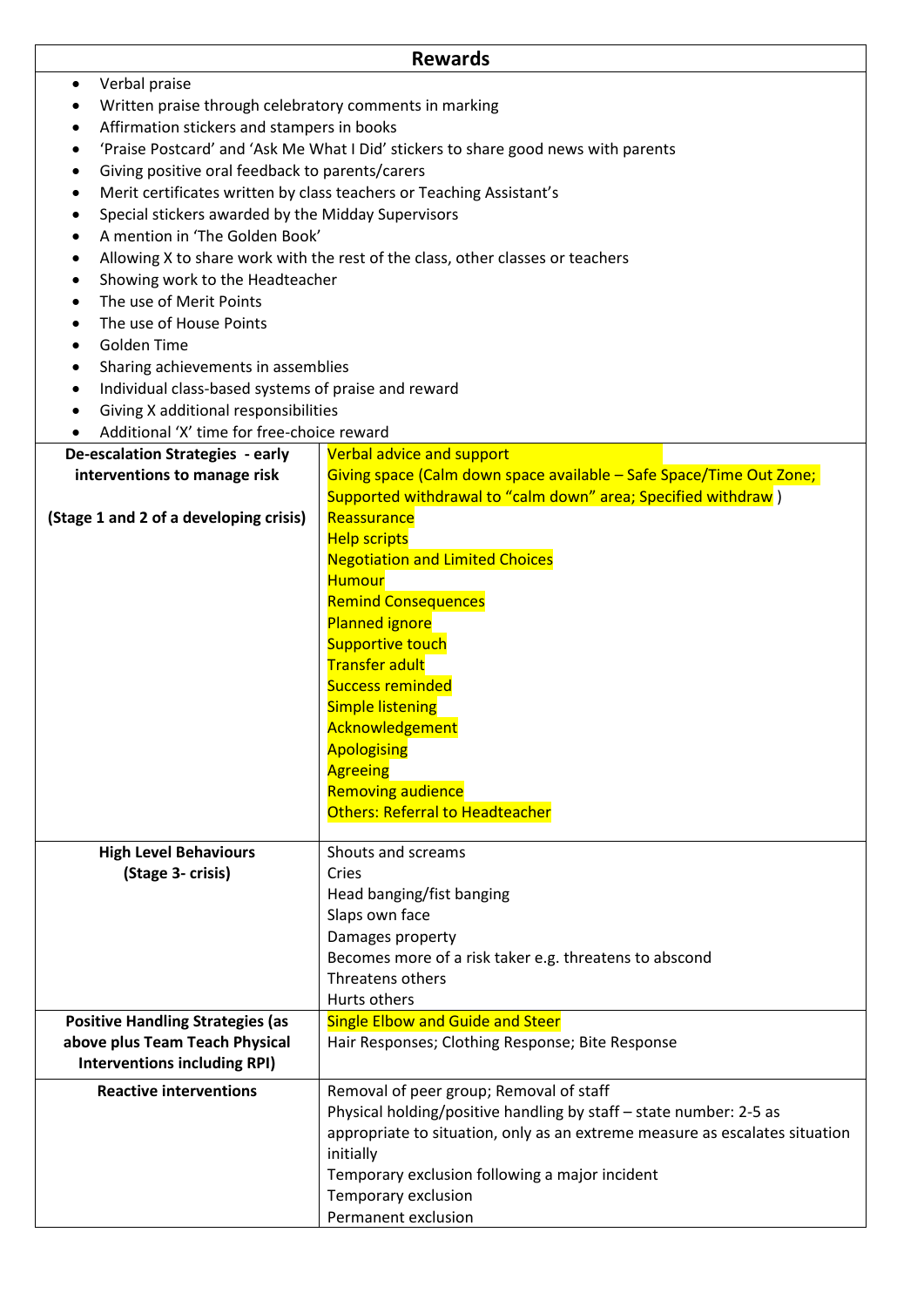|                                                                  | <b>Rewards</b>                                                                                   |  |  |  |
|------------------------------------------------------------------|--------------------------------------------------------------------------------------------------|--|--|--|
| Verbal praise<br>$\bullet$                                       |                                                                                                  |  |  |  |
|                                                                  | Written praise through celebratory comments in marking                                           |  |  |  |
|                                                                  | Affirmation stickers and stampers in books                                                       |  |  |  |
|                                                                  | 'Praise Postcard' and 'Ask Me What I Did' stickers to share good news with parents               |  |  |  |
| Giving positive oral feedback to parents/carers<br>٠             |                                                                                                  |  |  |  |
| ٠                                                                | Merit certificates written by class teachers or Teaching Assistant's                             |  |  |  |
| Special stickers awarded by the Midday Supervisors               |                                                                                                  |  |  |  |
| A mention in 'The Golden Book'<br>$\bullet$                      |                                                                                                  |  |  |  |
|                                                                  | Allowing X to share work with the rest of the class, other classes or teachers                   |  |  |  |
| Showing work to the Headteacher                                  |                                                                                                  |  |  |  |
| The use of Merit Points<br>$\bullet$                             |                                                                                                  |  |  |  |
| The use of House Points<br>$\bullet$                             |                                                                                                  |  |  |  |
| Golden Time<br>٠                                                 |                                                                                                  |  |  |  |
| Sharing achievements in assemblies<br>٠                          |                                                                                                  |  |  |  |
| Individual class-based systems of praise and reward<br>$\bullet$ |                                                                                                  |  |  |  |
| Giving X additional responsibilities                             |                                                                                                  |  |  |  |
| Additional 'X' time for free-choice reward                       |                                                                                                  |  |  |  |
| De-escalation Strategies - early                                 | Verbal advice and support<br>Giving space (Calm down space available - Safe Space/Time Out Zone; |  |  |  |
| interventions to manage risk                                     |                                                                                                  |  |  |  |
| (Stage 1 and 2 of a developing crisis)                           | Supported withdrawal to "calm down" area; Specified withdraw)<br>Reassurance                     |  |  |  |
|                                                                  | <b>Help scripts</b>                                                                              |  |  |  |
|                                                                  | <b>Negotiation and Limited Choices</b>                                                           |  |  |  |
|                                                                  | <b>Humour</b>                                                                                    |  |  |  |
|                                                                  | <b>Remind Consequences</b>                                                                       |  |  |  |
|                                                                  | <b>Planned ignore</b>                                                                            |  |  |  |
|                                                                  | <b>Supportive touch</b>                                                                          |  |  |  |
|                                                                  | <b>Transfer adult</b>                                                                            |  |  |  |
|                                                                  | <b>Success reminded</b>                                                                          |  |  |  |
|                                                                  | <b>Simple listening</b>                                                                          |  |  |  |
|                                                                  | Acknowledgement                                                                                  |  |  |  |
|                                                                  | <b>Apologising</b>                                                                               |  |  |  |
|                                                                  | <b>Agreeing</b>                                                                                  |  |  |  |
|                                                                  | <b>Removing audience</b>                                                                         |  |  |  |
|                                                                  | Others: Referral to Headteacher                                                                  |  |  |  |
|                                                                  |                                                                                                  |  |  |  |
| <b>High Level Behaviours</b>                                     | Shouts and screams                                                                               |  |  |  |
| (Stage 3- crisis)                                                | Cries                                                                                            |  |  |  |
|                                                                  | Head banging/fist banging<br>Slaps own face                                                      |  |  |  |
|                                                                  | Damages property                                                                                 |  |  |  |
|                                                                  | Becomes more of a risk taker e.g. threatens to abscond                                           |  |  |  |
|                                                                  | Threatens others                                                                                 |  |  |  |
|                                                                  | Hurts others                                                                                     |  |  |  |
| <b>Positive Handling Strategies (as</b>                          | <b>Single Elbow and Guide and Steer</b>                                                          |  |  |  |
| above plus Team Teach Physical                                   | Hair Responses; Clothing Response; Bite Response                                                 |  |  |  |
| <b>Interventions including RPI)</b>                              |                                                                                                  |  |  |  |
| <b>Reactive interventions</b>                                    | Removal of peer group; Removal of staff                                                          |  |  |  |
|                                                                  | Physical holding/positive handling by staff - state number: 2-5 as                               |  |  |  |
|                                                                  | appropriate to situation, only as an extreme measure as escalates situation                      |  |  |  |
|                                                                  | initially                                                                                        |  |  |  |
|                                                                  | Temporary exclusion following a major incident                                                   |  |  |  |
|                                                                  | Temporary exclusion                                                                              |  |  |  |
|                                                                  | Permanent exclusion                                                                              |  |  |  |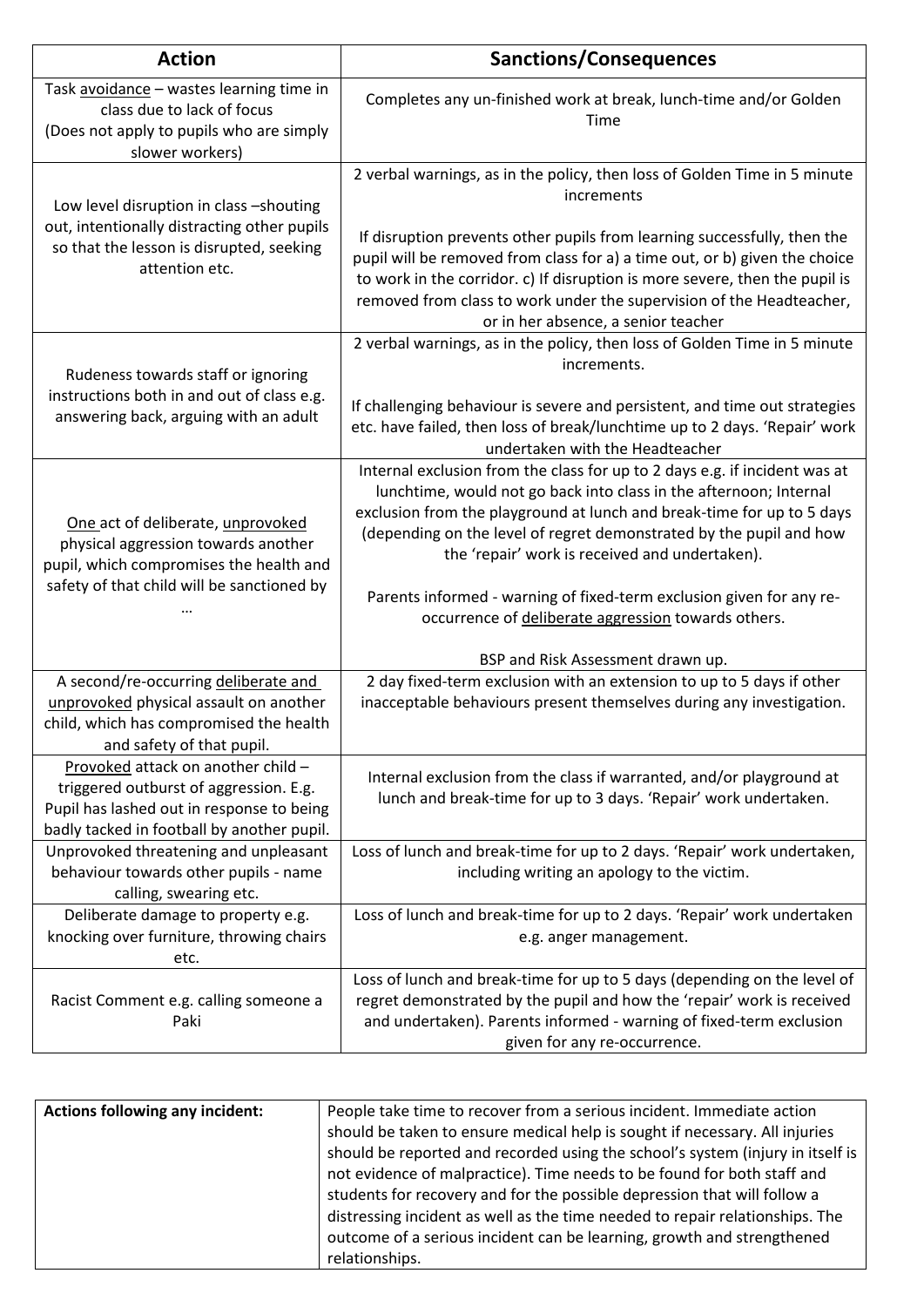| <b>Action</b>                                                                                                                                                           | <b>Sanctions/Consequences</b>                                                                                                                                                                                                                                                                                                                                                                                                                                                      |
|-------------------------------------------------------------------------------------------------------------------------------------------------------------------------|------------------------------------------------------------------------------------------------------------------------------------------------------------------------------------------------------------------------------------------------------------------------------------------------------------------------------------------------------------------------------------------------------------------------------------------------------------------------------------|
| Task avoidance - wastes learning time in<br>class due to lack of focus<br>(Does not apply to pupils who are simply<br>slower workers)                                   | Completes any un-finished work at break, lunch-time and/or Golden<br>Time                                                                                                                                                                                                                                                                                                                                                                                                          |
| Low level disruption in class -shouting<br>out, intentionally distracting other pupils<br>so that the lesson is disrupted, seeking<br>attention etc.                    | 2 verbal warnings, as in the policy, then loss of Golden Time in 5 minute<br>increments<br>If disruption prevents other pupils from learning successfully, then the<br>pupil will be removed from class for a) a time out, or b) given the choice<br>to work in the corridor. c) If disruption is more severe, then the pupil is<br>removed from class to work under the supervision of the Headteacher,<br>or in her absence, a senior teacher                                    |
| Rudeness towards staff or ignoring<br>instructions both in and out of class e.g.<br>answering back, arguing with an adult                                               | 2 verbal warnings, as in the policy, then loss of Golden Time in 5 minute<br>increments.<br>If challenging behaviour is severe and persistent, and time out strategies<br>etc. have failed, then loss of break/lunchtime up to 2 days. 'Repair' work<br>undertaken with the Headteacher                                                                                                                                                                                            |
| One act of deliberate, unprovoked<br>physical aggression towards another<br>pupil, which compromises the health and<br>safety of that child will be sanctioned by       | Internal exclusion from the class for up to 2 days e.g. if incident was at<br>lunchtime, would not go back into class in the afternoon; Internal<br>exclusion from the playground at lunch and break-time for up to 5 days<br>(depending on the level of regret demonstrated by the pupil and how<br>the 'repair' work is received and undertaken).<br>Parents informed - warning of fixed-term exclusion given for any re-<br>occurrence of deliberate aggression towards others. |
| A second/re-occurring deliberate and<br>unprovoked physical assault on another<br>child, which has compromised the health<br>and safety of that pupil.                  | BSP and Risk Assessment drawn up.<br>2 day fixed-term exclusion with an extension to up to 5 days if other<br>inacceptable behaviours present themselves during any investigation.                                                                                                                                                                                                                                                                                                 |
| Provoked attack on another child -<br>triggered outburst of aggression. E.g.<br>Pupil has lashed out in response to being<br>badly tacked in football by another pupil. | Internal exclusion from the class if warranted, and/or playground at<br>lunch and break-time for up to 3 days. 'Repair' work undertaken.                                                                                                                                                                                                                                                                                                                                           |
| Unprovoked threatening and unpleasant<br>behaviour towards other pupils - name<br>calling, swearing etc.                                                                | Loss of lunch and break-time for up to 2 days. 'Repair' work undertaken,<br>including writing an apology to the victim.                                                                                                                                                                                                                                                                                                                                                            |
| Deliberate damage to property e.g.<br>knocking over furniture, throwing chairs<br>etc.                                                                                  | Loss of lunch and break-time for up to 2 days. 'Repair' work undertaken<br>e.g. anger management.                                                                                                                                                                                                                                                                                                                                                                                  |
| Racist Comment e.g. calling someone a<br>Paki                                                                                                                           | Loss of lunch and break-time for up to 5 days (depending on the level of<br>regret demonstrated by the pupil and how the 'repair' work is received<br>and undertaken). Parents informed - warning of fixed-term exclusion<br>given for any re-occurrence.                                                                                                                                                                                                                          |

| <b>Actions following any incident:</b> | People take time to recover from a serious incident. Immediate action          |
|----------------------------------------|--------------------------------------------------------------------------------|
|                                        | should be taken to ensure medical help is sought if necessary. All injuries    |
|                                        | should be reported and recorded using the school's system (injury in itself is |
|                                        | not evidence of malpractice). Time needs to be found for both staff and        |
|                                        | students for recovery and for the possible depression that will follow a       |
|                                        | distressing incident as well as the time needed to repair relationships. The   |
|                                        | outcome of a serious incident can be learning, growth and strengthened         |
|                                        | relationships.                                                                 |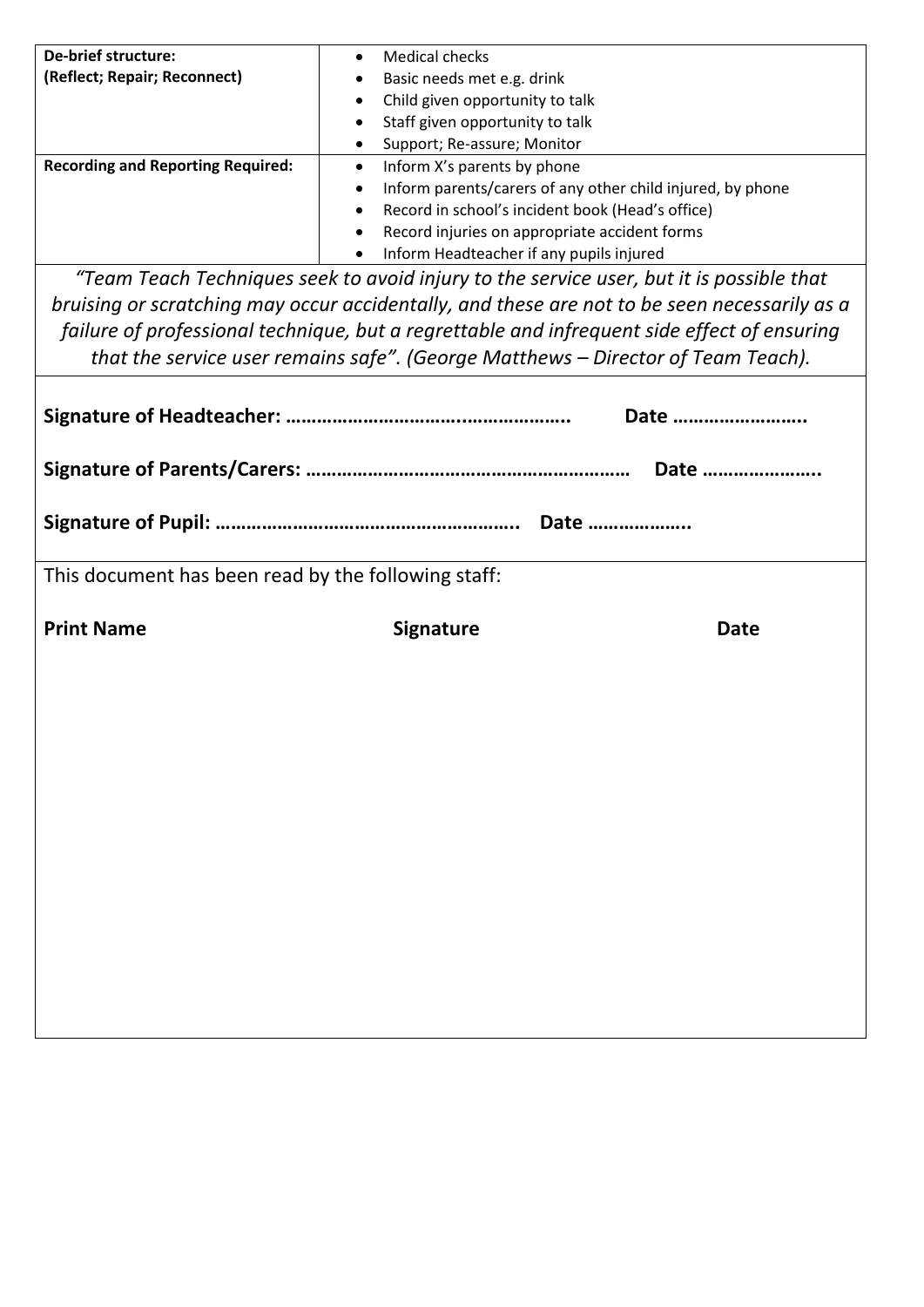| De-brief structure:                      | Medical checks                                             |
|------------------------------------------|------------------------------------------------------------|
| (Reflect; Repair; Reconnect)             | Basic needs met e.g. drink                                 |
|                                          | Child given opportunity to talk                            |
|                                          | Staff given opportunity to talk                            |
|                                          | Support; Re-assure; Monitor                                |
| <b>Recording and Reporting Required:</b> | Inform X's parents by phone                                |
|                                          | Inform parents/carers of any other child injured, by phone |
|                                          | Record in school's incident book (Head's office)<br>٠      |
|                                          | Record injuries on appropriate accident forms<br>٠         |
|                                          | Inform Headteacher if any pupils injured                   |

*"Team Teach Techniques seek to avoid injury to the service user, but it is possible that bruising or scratching may occur accidentally, and these are not to be seen necessarily as a failure of professional technique, but a regrettable and infrequent side effect of ensuring that the service user remains safe". (George Matthews – Director of Team Teach).*

|                                                     |                  | Date        |
|-----------------------------------------------------|------------------|-------------|
|                                                     |                  |             |
|                                                     |                  |             |
| This document has been read by the following staff: |                  |             |
| <b>Print Name</b>                                   | <b>Signature</b> | <b>Date</b> |
|                                                     |                  |             |
|                                                     |                  |             |
|                                                     |                  |             |
|                                                     |                  |             |
|                                                     |                  |             |
|                                                     |                  |             |
|                                                     |                  |             |
|                                                     |                  |             |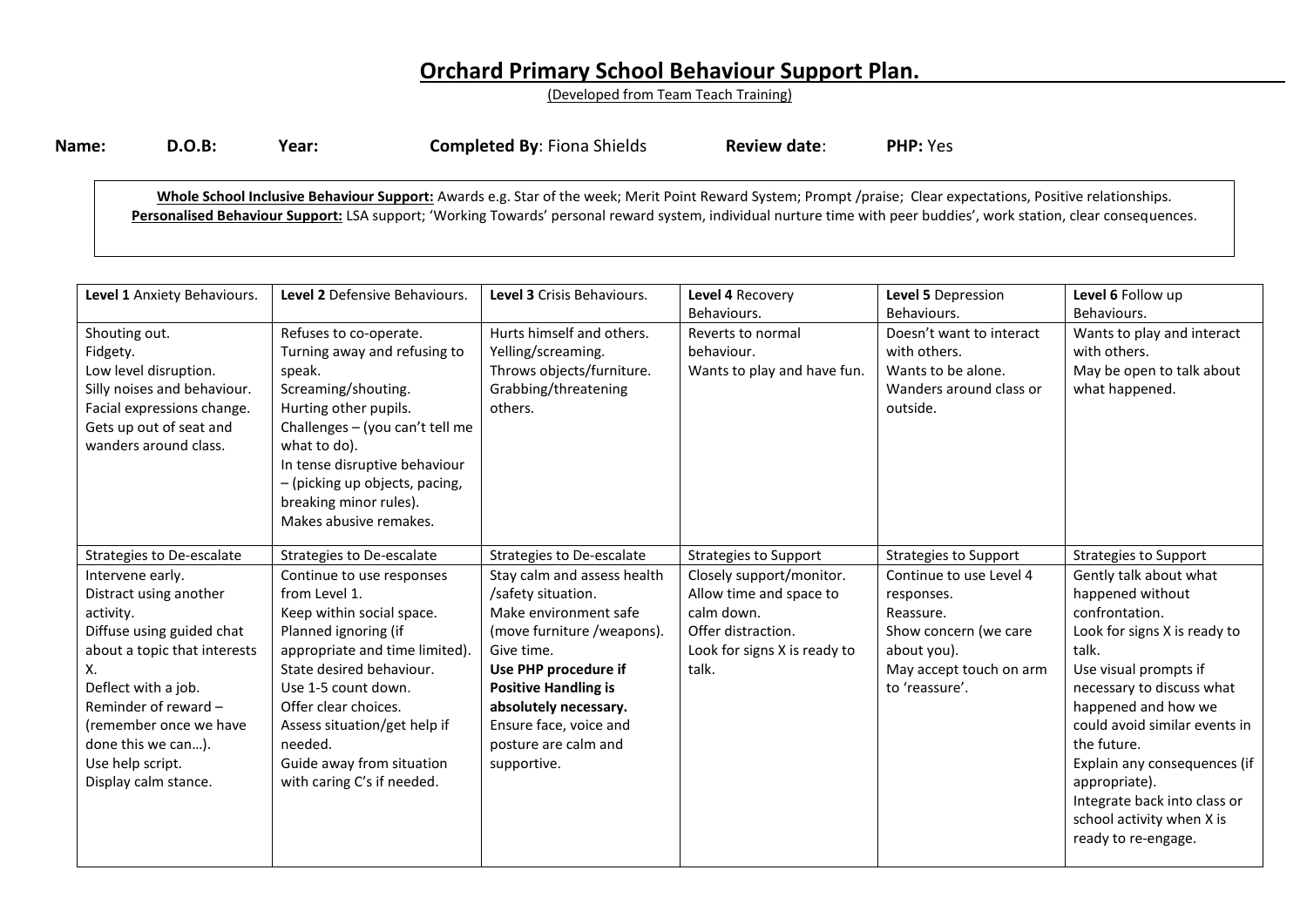# **Orchard Primary School Behaviour Support Plan.**

(Developed from Team Teach Training)

| Name: | <b>D.O.B:</b> | Year: | <b>Completed By: Fiona Shields</b> | <b>Review date:</b> | <b>PHP:</b> Yes |
|-------|---------------|-------|------------------------------------|---------------------|-----------------|
|       |               |       |                                    |                     |                 |

**Whole School Inclusive Behaviour Support:** Awards e.g. Star of the week; Merit Point Reward System; Prompt /praise; Clear expectations, Positive relationships. Personalised Behaviour Support: LSA support; 'Working Towards' personal reward system, individual nurture time with peer buddies', work station, clear consequences.

| Level 1 Anxiety Behaviours.                                                                                                                                                                                                                                           | Level 2 Defensive Behaviours.                                                                                                                                                                                                                                                                                      | Level 3 Crisis Behaviours.                                                                                                                                                                                                                                              | Level 4 Recovery<br>Behaviours.                                                                                                  | Level 5 Depression<br>Behaviours.                                                                                                       | Level 6 Follow up<br>Behaviours.                                                                                                                                                                                                                                                                                                                                        |
|-----------------------------------------------------------------------------------------------------------------------------------------------------------------------------------------------------------------------------------------------------------------------|--------------------------------------------------------------------------------------------------------------------------------------------------------------------------------------------------------------------------------------------------------------------------------------------------------------------|-------------------------------------------------------------------------------------------------------------------------------------------------------------------------------------------------------------------------------------------------------------------------|----------------------------------------------------------------------------------------------------------------------------------|-----------------------------------------------------------------------------------------------------------------------------------------|-------------------------------------------------------------------------------------------------------------------------------------------------------------------------------------------------------------------------------------------------------------------------------------------------------------------------------------------------------------------------|
| Shouting out.<br>Fidgety.<br>Low level disruption.<br>Silly noises and behaviour.<br>Facial expressions change.<br>Gets up out of seat and<br>wanders around class.                                                                                                   | Refuses to co-operate.<br>Turning away and refusing to<br>speak.<br>Screaming/shouting.<br>Hurting other pupils.<br>Challenges - (you can't tell me<br>what to do).<br>In tense disruptive behaviour<br>- (picking up objects, pacing,<br>breaking minor rules).<br>Makes abusive remakes.                         | Hurts himself and others.<br>Yelling/screaming.<br>Throws objects/furniture.<br>Grabbing/threatening<br>others.                                                                                                                                                         | Reverts to normal<br>behaviour.<br>Wants to play and have fun.                                                                   | Doesn't want to interact<br>with others.<br>Wants to be alone.<br>Wanders around class or<br>outside.                                   | Wants to play and interact<br>with others.<br>May be open to talk about<br>what happened.                                                                                                                                                                                                                                                                               |
| Strategies to De-escalate                                                                                                                                                                                                                                             | Strategies to De-escalate                                                                                                                                                                                                                                                                                          | Strategies to De-escalate                                                                                                                                                                                                                                               | <b>Strategies to Support</b>                                                                                                     | <b>Strategies to Support</b>                                                                                                            | <b>Strategies to Support</b>                                                                                                                                                                                                                                                                                                                                            |
| Intervene early.<br>Distract using another<br>activity.<br>Diffuse using guided chat<br>about a topic that interests<br>Х.<br>Deflect with a job.<br>Reminder of reward -<br>(remember once we have<br>done this we can).<br>Use help script.<br>Display calm stance. | Continue to use responses<br>from Level 1.<br>Keep within social space.<br>Planned ignoring (if<br>appropriate and time limited).<br>State desired behaviour.<br>Use 1-5 count down.<br>Offer clear choices.<br>Assess situation/get help if<br>needed.<br>Guide away from situation<br>with caring C's if needed. | Stay calm and assess health<br>/safety situation.<br>Make environment safe<br>(move furniture /weapons).<br>Give time.<br>Use PHP procedure if<br><b>Positive Handling is</b><br>absolutely necessary.<br>Ensure face, voice and<br>posture are calm and<br>supportive. | Closely support/monitor.<br>Allow time and space to<br>calm down.<br>Offer distraction.<br>Look for signs X is ready to<br>talk. | Continue to use Level 4<br>responses.<br>Reassure.<br>Show concern (we care<br>about you).<br>May accept touch on arm<br>to 'reassure'. | Gently talk about what<br>happened without<br>confrontation.<br>Look for signs X is ready to<br>talk.<br>Use visual prompts if<br>necessary to discuss what<br>happened and how we<br>could avoid similar events in<br>the future.<br>Explain any consequences (if<br>appropriate).<br>Integrate back into class or<br>school activity when X is<br>ready to re-engage. |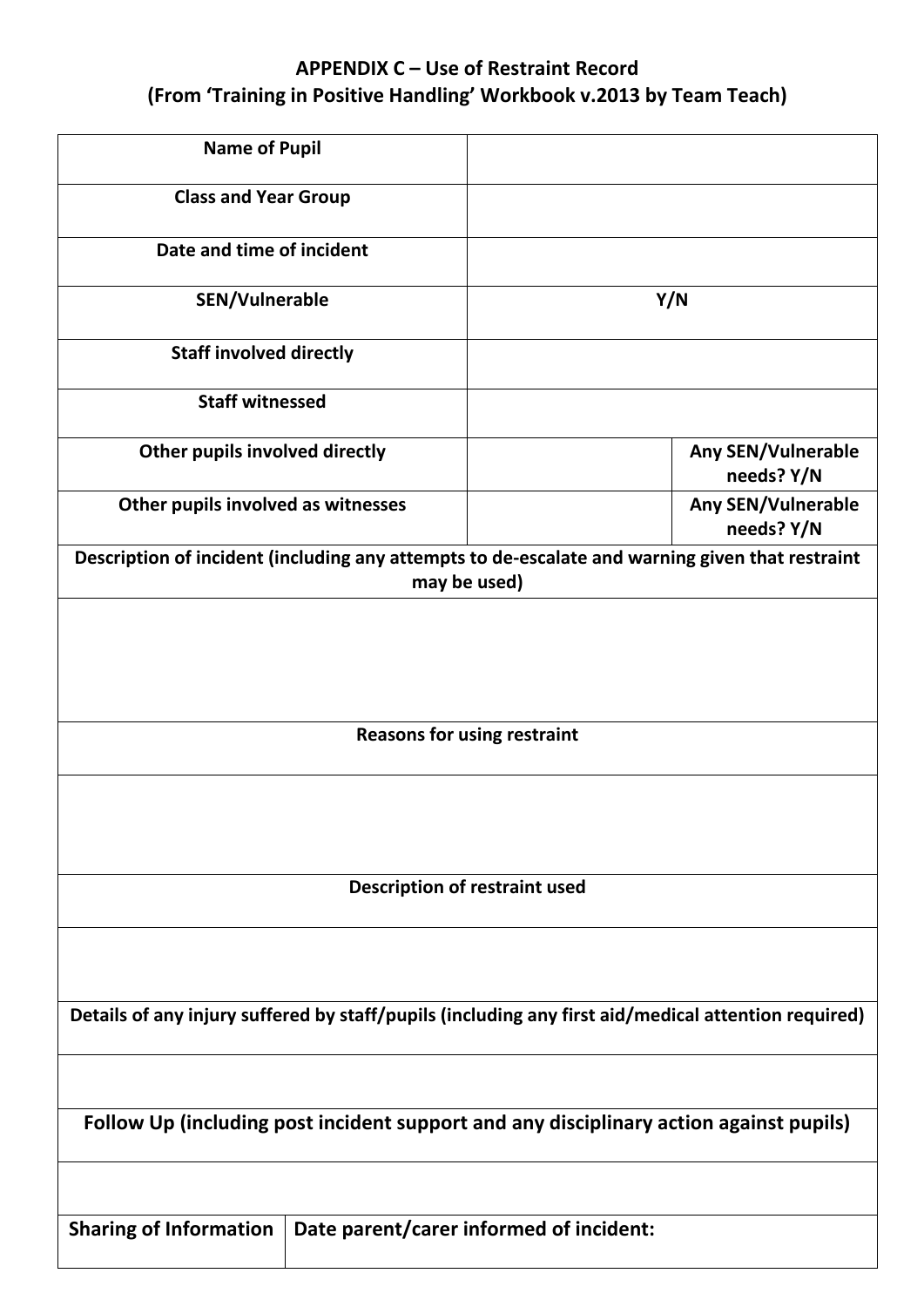# **APPENDIX C – Use of Restraint Record (From 'Training in Positive Handling' Workbook v.2013 by Team Teach)**

| <b>Name of Pupil</b>                                                                                |                                                                                                                 |  |
|-----------------------------------------------------------------------------------------------------|-----------------------------------------------------------------------------------------------------------------|--|
| <b>Class and Year Group</b>                                                                         |                                                                                                                 |  |
| Date and time of incident                                                                           |                                                                                                                 |  |
| <b>SEN/Vulnerable</b>                                                                               | Y/N                                                                                                             |  |
| <b>Staff involved directly</b>                                                                      |                                                                                                                 |  |
| <b>Staff witnessed</b>                                                                              |                                                                                                                 |  |
| Other pupils involved directly                                                                      | <b>Any SEN/Vulnerable</b><br>needs? Y/N                                                                         |  |
| Other pupils involved as witnesses                                                                  | <b>Any SEN/Vulnerable</b><br>needs? Y/N                                                                         |  |
|                                                                                                     | Description of incident (including any attempts to de-escalate and warning given that restraint<br>may be used) |  |
|                                                                                                     |                                                                                                                 |  |
|                                                                                                     |                                                                                                                 |  |
|                                                                                                     |                                                                                                                 |  |
|                                                                                                     | <b>Reasons for using restraint</b>                                                                              |  |
|                                                                                                     |                                                                                                                 |  |
|                                                                                                     |                                                                                                                 |  |
|                                                                                                     | <b>Description of restraint used</b>                                                                            |  |
|                                                                                                     |                                                                                                                 |  |
|                                                                                                     |                                                                                                                 |  |
| Details of any injury suffered by staff/pupils (including any first aid/medical attention required) |                                                                                                                 |  |
|                                                                                                     |                                                                                                                 |  |
| Follow Up (including post incident support and any disciplinary action against pupils)              |                                                                                                                 |  |
|                                                                                                     |                                                                                                                 |  |
| <b>Sharing of Information</b>                                                                       | Date parent/carer informed of incident:                                                                         |  |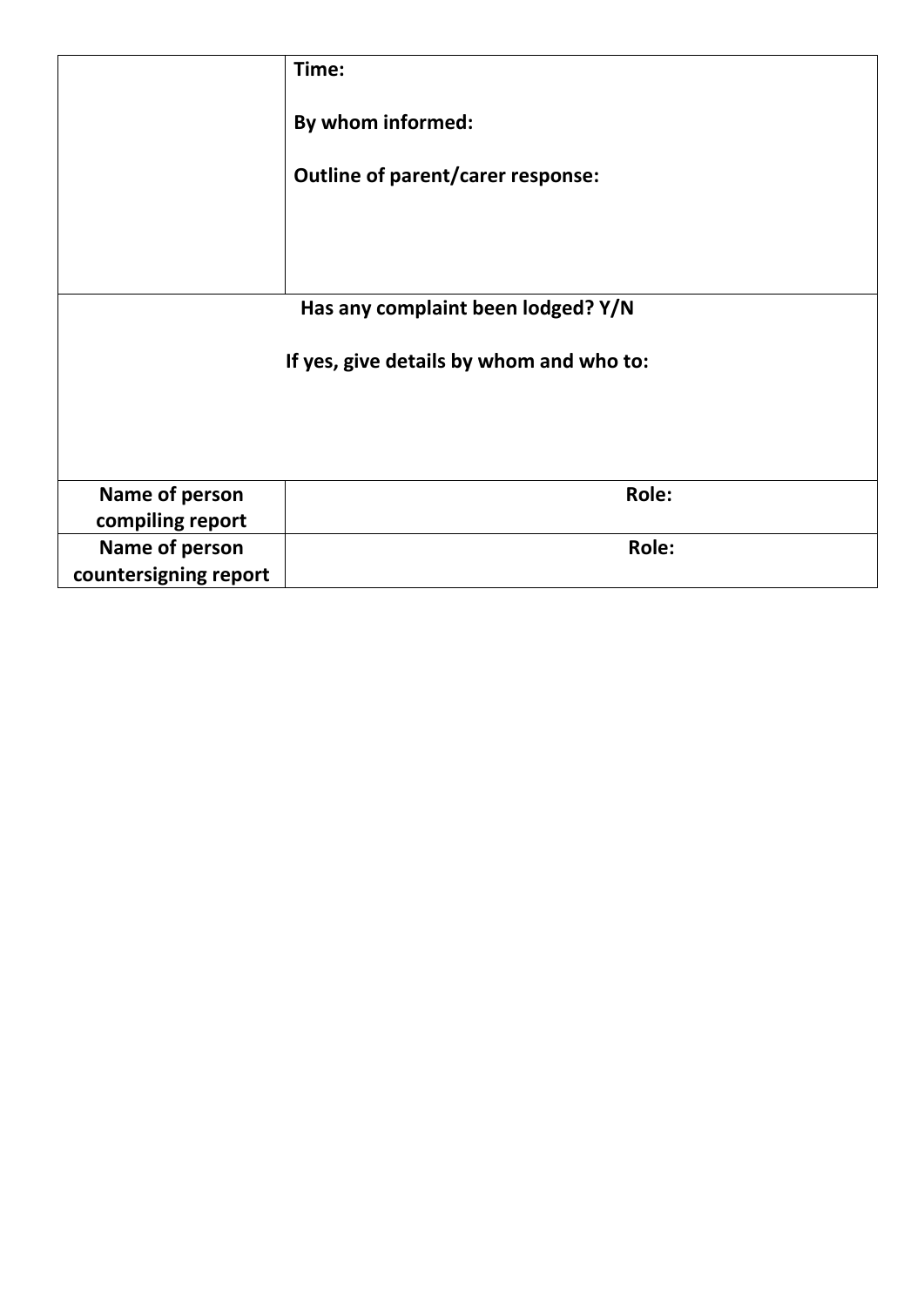|                                          | Time:                             |  |
|------------------------------------------|-----------------------------------|--|
|                                          | By whom informed:                 |  |
|                                          | Outline of parent/carer response: |  |
|                                          |                                   |  |
|                                          |                                   |  |
| Has any complaint been lodged? Y/N       |                                   |  |
| If yes, give details by whom and who to: |                                   |  |
|                                          |                                   |  |
| Name of person<br>compiling report       | Role:                             |  |
| Name of person<br>countersigning report  | Role:                             |  |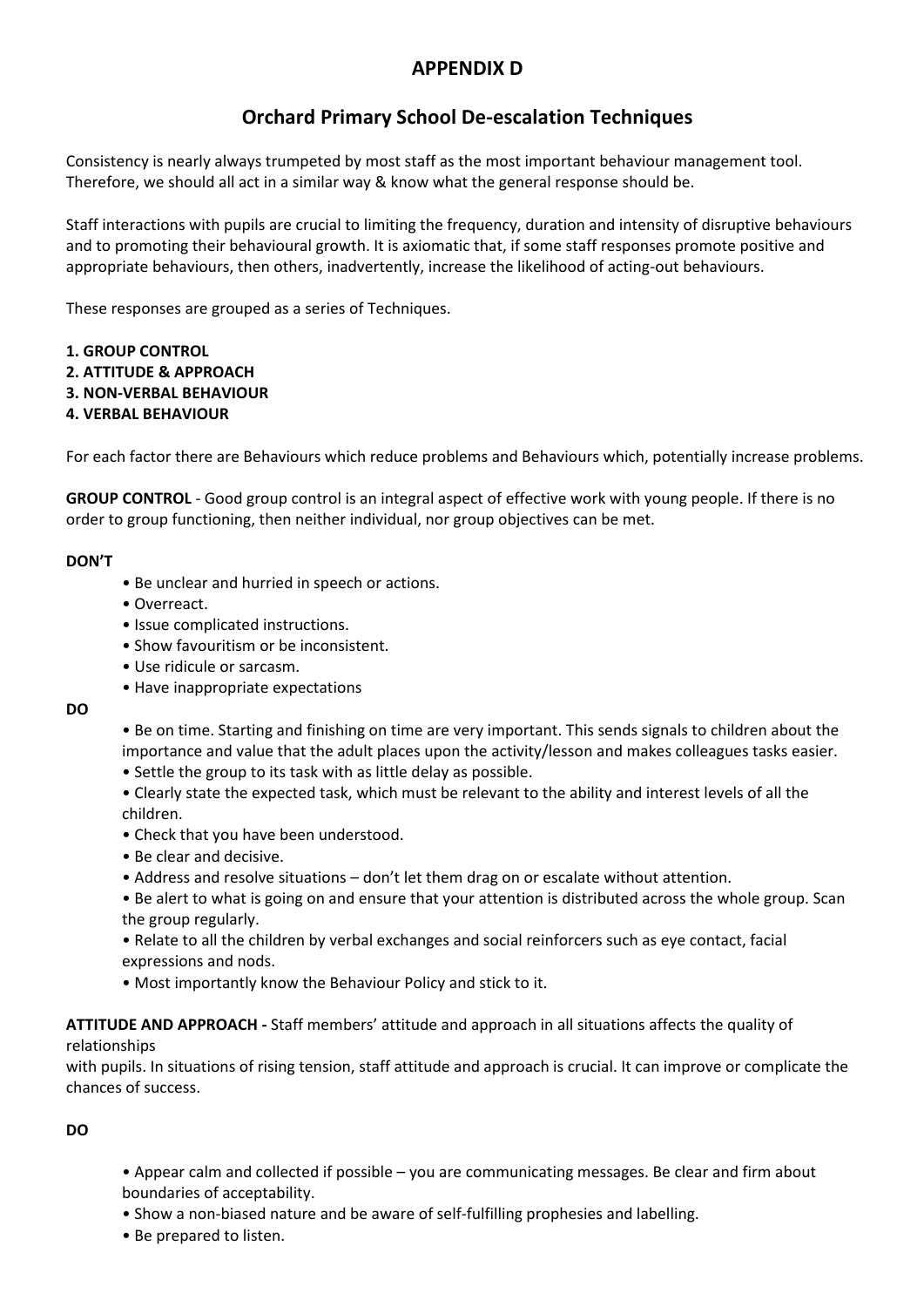# **APPENDIX D**

# **Orchard Primary School De-escalation Techniques**

Consistency is nearly always trumpeted by most staff as the most important behaviour management tool. Therefore, we should all act in a similar way & know what the general response should be.

Staff interactions with pupils are crucial to limiting the frequency, duration and intensity of disruptive behaviours and to promoting their behavioural growth. It is axiomatic that, if some staff responses promote positive and appropriate behaviours, then others, inadvertently, increase the likelihood of acting-out behaviours.

These responses are grouped as a series of Techniques.

#### **1. GROUP CONTROL**

- **2. ATTITUDE & APPROACH**
- **3. NON-VERBAL BEHAVIOUR**
- **4. VERBAL BEHAVIOUR**

For each factor there are Behaviours which reduce problems and Behaviours which, potentially increase problems.

**GROUP CONTROL** - Good group control is an integral aspect of effective work with young people. If there is no order to group functioning, then neither individual, nor group objectives can be met.

#### **DON'T**

- Be unclear and hurried in speech or actions.
- Overreact.
- Issue complicated instructions.
- Show favouritism or be inconsistent.
- Use ridicule or sarcasm.
- Have inappropriate expectations

**DO**

- Be on time. Starting and finishing on time are very important. This sends signals to children about the importance and value that the adult places upon the activity/lesson and makes colleagues tasks easier.
- Settle the group to its task with as little delay as possible.
- Clearly state the expected task, which must be relevant to the ability and interest levels of all the children.
- Check that you have been understood.
- Be clear and decisive.
- Address and resolve situations don't let them drag on or escalate without attention.
- Be alert to what is going on and ensure that your attention is distributed across the whole group. Scan the group regularly.
- Relate to all the children by verbal exchanges and social reinforcers such as eye contact, facial expressions and nods.
- Most importantly know the Behaviour Policy and stick to it.

#### **ATTITUDE AND APPROACH -** Staff members' attitude and approach in all situations affects the quality of

#### relationships

with pupils. In situations of rising tension, staff attitude and approach is crucial. It can improve or complicate the chances of success.

#### **DO**

- Appear calm and collected if possible you are communicating messages. Be clear and firm about boundaries of acceptability.
- Show a non-biased nature and be aware of self-fulfilling prophesies and labelling.
- Be prepared to listen.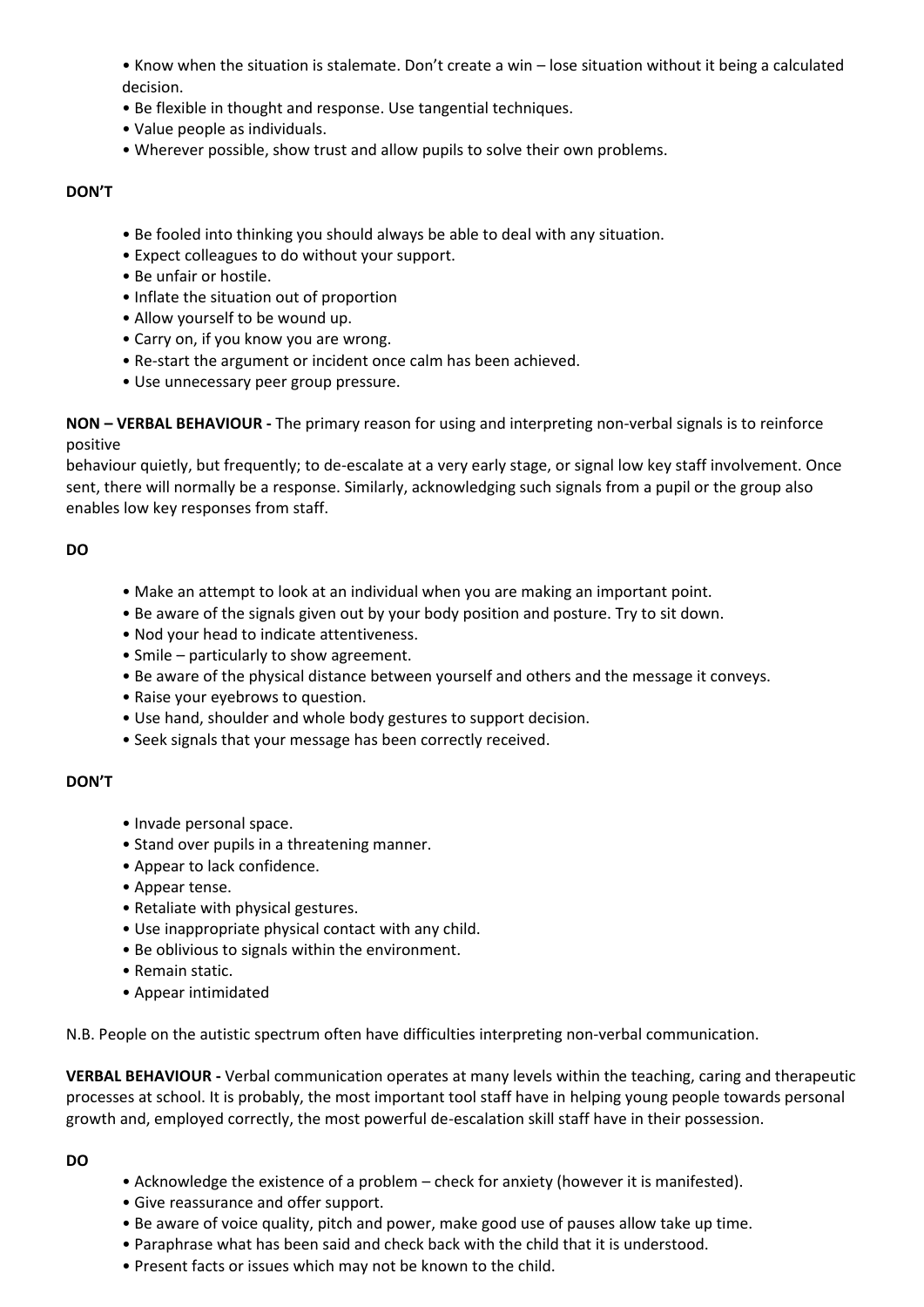• Know when the situation is stalemate. Don't create a win – lose situation without it being a calculated decision.

- Be flexible in thought and response. Use tangential techniques.
- Value people as individuals.
- Wherever possible, show trust and allow pupils to solve their own problems.

#### **DON'T**

- Be fooled into thinking you should always be able to deal with any situation.
- Expect colleagues to do without your support.
- Be unfair or hostile.
- Inflate the situation out of proportion
- Allow yourself to be wound up.
- Carry on, if you know you are wrong.
- Re-start the argument or incident once calm has been achieved.
- Use unnecessary peer group pressure.

**NON – VERBAL BEHAVIOUR -** The primary reason for using and interpreting non-verbal signals is to reinforce positive

behaviour quietly, but frequently; to de-escalate at a very early stage, or signal low key staff involvement. Once sent, there will normally be a response. Similarly, acknowledging such signals from a pupil or the group also enables low key responses from staff.

#### **DO**

- Make an attempt to look at an individual when you are making an important point.
- Be aware of the signals given out by your body position and posture. Try to sit down.
- Nod your head to indicate attentiveness.
- Smile particularly to show agreement.
- Be aware of the physical distance between yourself and others and the message it conveys.
- Raise your eyebrows to question.
- Use hand, shoulder and whole body gestures to support decision.
- Seek signals that your message has been correctly received.

#### **DON'T**

- Invade personal space.
- Stand over pupils in a threatening manner.
- Appear to lack confidence.
- Appear tense.
- Retaliate with physical gestures.
- Use inappropriate physical contact with any child.
- Be oblivious to signals within the environment.
- Remain static.
- Appear intimidated

N.B. People on the autistic spectrum often have difficulties interpreting non-verbal communication.

**VERBAL BEHAVIOUR -** Verbal communication operates at many levels within the teaching, caring and therapeutic processes at school. It is probably, the most important tool staff have in helping young people towards personal growth and, employed correctly, the most powerful de-escalation skill staff have in their possession.

#### **DO**

- Acknowledge the existence of a problem check for anxiety (however it is manifested).
- Give reassurance and offer support.
- Be aware of voice quality, pitch and power, make good use of pauses allow take up time.
- Paraphrase what has been said and check back with the child that it is understood.
- Present facts or issues which may not be known to the child.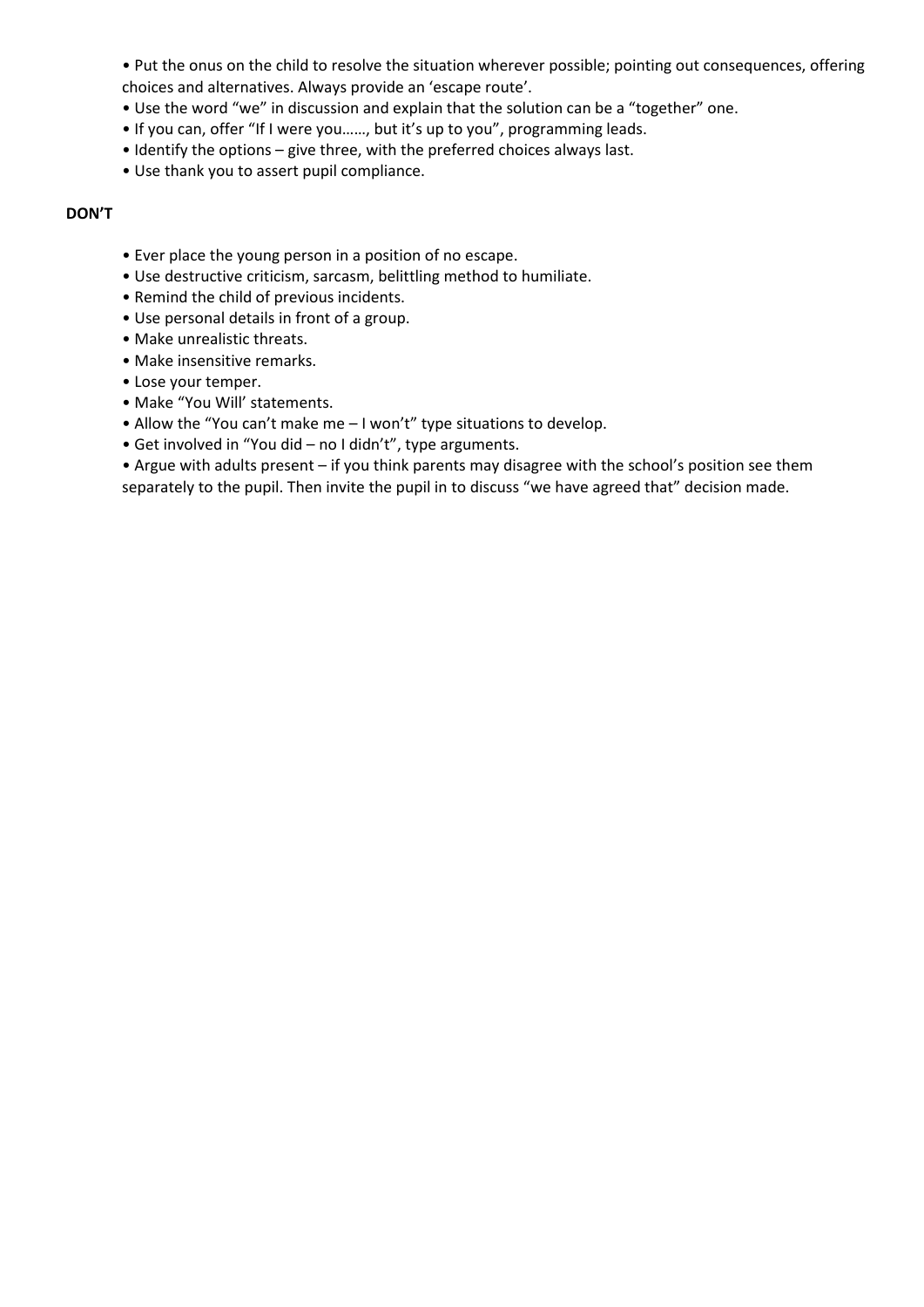• Put the onus on the child to resolve the situation wherever possible; pointing out consequences, offering choices and alternatives. Always provide an 'escape route'.

- Use the word "we" in discussion and explain that the solution can be a "together" one.
- If you can, offer "If I were you……, but it's up to you", programming leads.
- Identify the options give three, with the preferred choices always last.
- Use thank you to assert pupil compliance.

#### **DON'T**

- Ever place the young person in a position of no escape.
- Use destructive criticism, sarcasm, belittling method to humiliate.
- Remind the child of previous incidents.
- Use personal details in front of a group.
- Make unrealistic threats.
- Make insensitive remarks.
- Lose your temper.
- Make "You Will' statements.
- Allow the "You can't make me I won't" type situations to develop.
- Get involved in "You did no I didn't", type arguments.

• Argue with adults present – if you think parents may disagree with the school's position see them separately to the pupil. Then invite the pupil in to discuss "we have agreed that" decision made.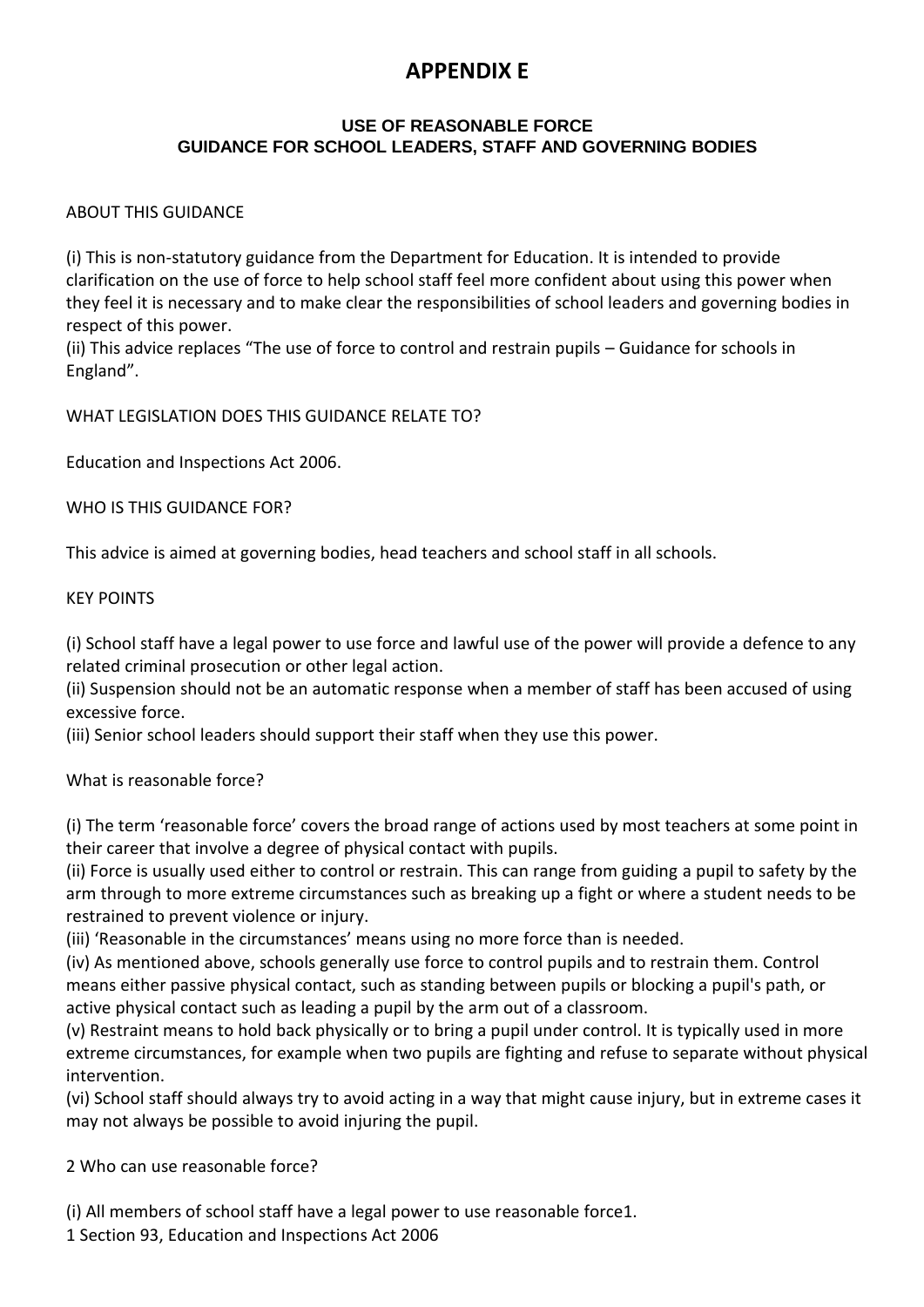# **APPENDIX E**

#### **USE OF REASONABLE FORCE GUIDANCE FOR SCHOOL LEADERS, STAFF AND GOVERNING BODIES**

### ABOUT THIS GUIDANCE

(i) This is non-statutory guidance from the Department for Education. It is intended to provide clarification on the use of force to help school staff feel more confident about using this power when they feel it is necessary and to make clear the responsibilities of school leaders and governing bodies in respect of this power.

(ii) This advice replaces "The use of force to control and restrain pupils – Guidance for schools in England".

WHAT LEGISLATION DOES THIS GUIDANCE RELATE TO?

Education and Inspections Act 2006.

WHO IS THIS GUIDANCE FOR?

This advice is aimed at governing bodies, head teachers and school staff in all schools.

#### KEY POINTS

(i) School staff have a legal power to use force and lawful use of the power will provide a defence to any related criminal prosecution or other legal action.

(ii) Suspension should not be an automatic response when a member of staff has been accused of using excessive force.

(iii) Senior school leaders should support their staff when they use this power.

What is reasonable force?

(i) The term 'reasonable force' covers the broad range of actions used by most teachers at some point in their career that involve a degree of physical contact with pupils.

(ii) Force is usually used either to control or restrain. This can range from guiding a pupil to safety by the arm through to more extreme circumstances such as breaking up a fight or where a student needs to be restrained to prevent violence or injury.

(iii) 'Reasonable in the circumstances' means using no more force than is needed.

(iv) As mentioned above, schools generally use force to control pupils and to restrain them. Control means either passive physical contact, such as standing between pupils or blocking a pupil's path, or active physical contact such as leading a pupil by the arm out of a classroom.

(v) Restraint means to hold back physically or to bring a pupil under control. It is typically used in more extreme circumstances, for example when two pupils are fighting and refuse to separate without physical intervention.

(vi) School staff should always try to avoid acting in a way that might cause injury, but in extreme cases it may not always be possible to avoid injuring the pupil.

2 Who can use reasonable force?

(i) All members of school staff have a legal power to use reasonable force1.

1 Section 93, Education and Inspections Act 2006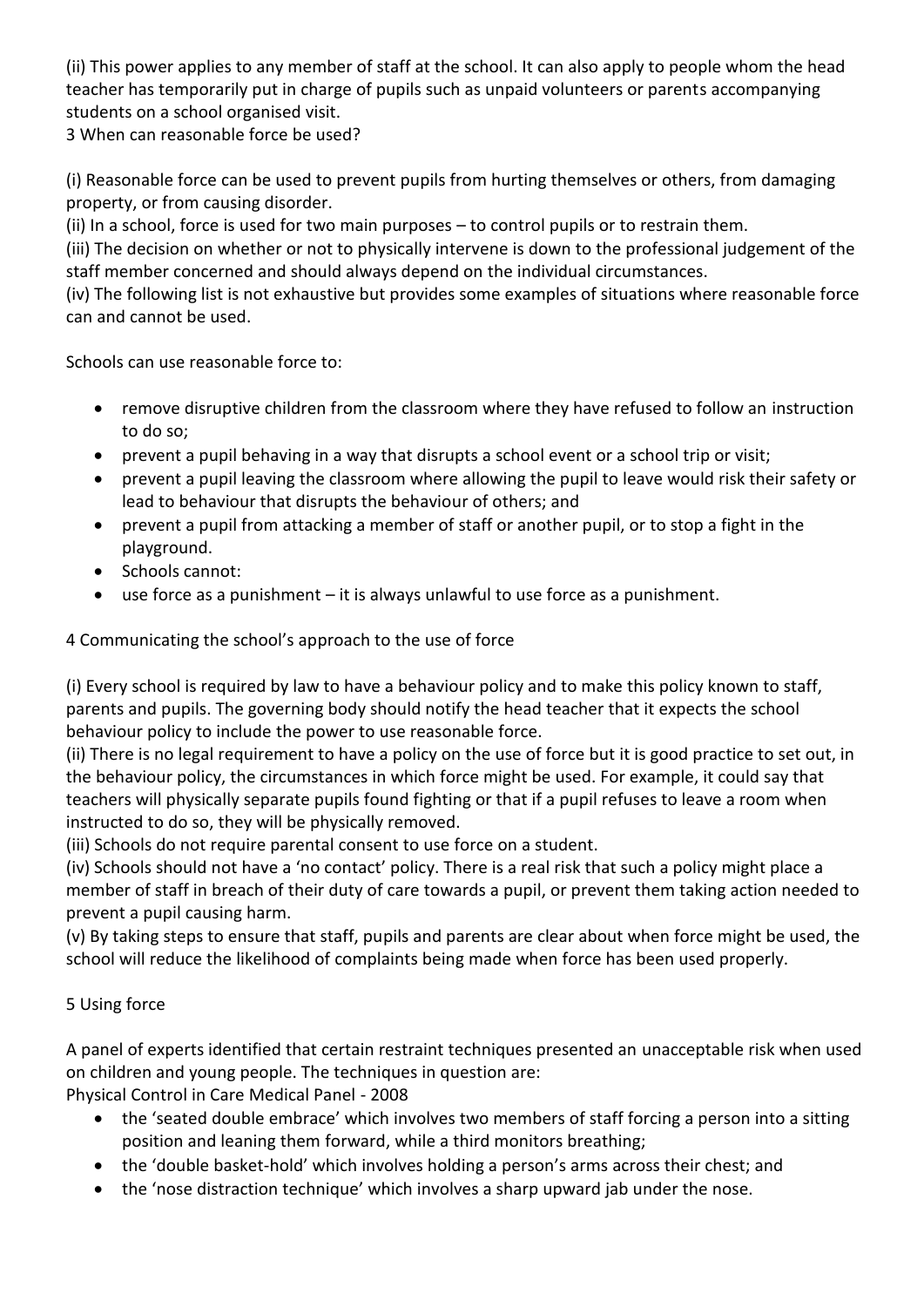(ii) This power applies to any member of staff at the school. It can also apply to people whom the head teacher has temporarily put in charge of pupils such as unpaid volunteers or parents accompanying students on a school organised visit.

3 When can reasonable force be used?

(i) Reasonable force can be used to prevent pupils from hurting themselves or others, from damaging property, or from causing disorder.

(ii) In a school, force is used for two main purposes – to control pupils or to restrain them.

(iii) The decision on whether or not to physically intervene is down to the professional judgement of the staff member concerned and should always depend on the individual circumstances.

(iv) The following list is not exhaustive but provides some examples of situations where reasonable force can and cannot be used.

Schools can use reasonable force to:

- remove disruptive children from the classroom where they have refused to follow an instruction to do so;
- prevent a pupil behaving in a way that disrupts a school event or a school trip or visit;
- prevent a pupil leaving the classroom where allowing the pupil to leave would risk their safety or lead to behaviour that disrupts the behaviour of others; and
- prevent a pupil from attacking a member of staff or another pupil, or to stop a fight in the playground.
- Schools cannot:
- use force as a punishment it is always unlawful to use force as a punishment.

4 Communicating the school's approach to the use of force

(i) Every school is required by law to have a behaviour policy and to make this policy known to staff, parents and pupils. The governing body should notify the head teacher that it expects the school behaviour policy to include the power to use reasonable force.

(ii) There is no legal requirement to have a policy on the use of force but it is good practice to set out, in the behaviour policy, the circumstances in which force might be used. For example, it could say that teachers will physically separate pupils found fighting or that if a pupil refuses to leave a room when instructed to do so, they will be physically removed.

(iii) Schools do not require parental consent to use force on a student.

(iv) Schools should not have a 'no contact' policy. There is a real risk that such a policy might place a member of staff in breach of their duty of care towards a pupil, or prevent them taking action needed to prevent a pupil causing harm.

(v) By taking steps to ensure that staff, pupils and parents are clear about when force might be used, the school will reduce the likelihood of complaints being made when force has been used properly.

# 5 Using force

A panel of experts identified that certain restraint techniques presented an unacceptable risk when used on children and young people. The techniques in question are:

Physical Control in Care Medical Panel - 2008

- the 'seated double embrace' which involves two members of staff forcing a person into a sitting position and leaning them forward, while a third monitors breathing;
- the 'double basket-hold' which involves holding a person's arms across their chest; and
- the 'nose distraction technique' which involves a sharp upward jab under the nose.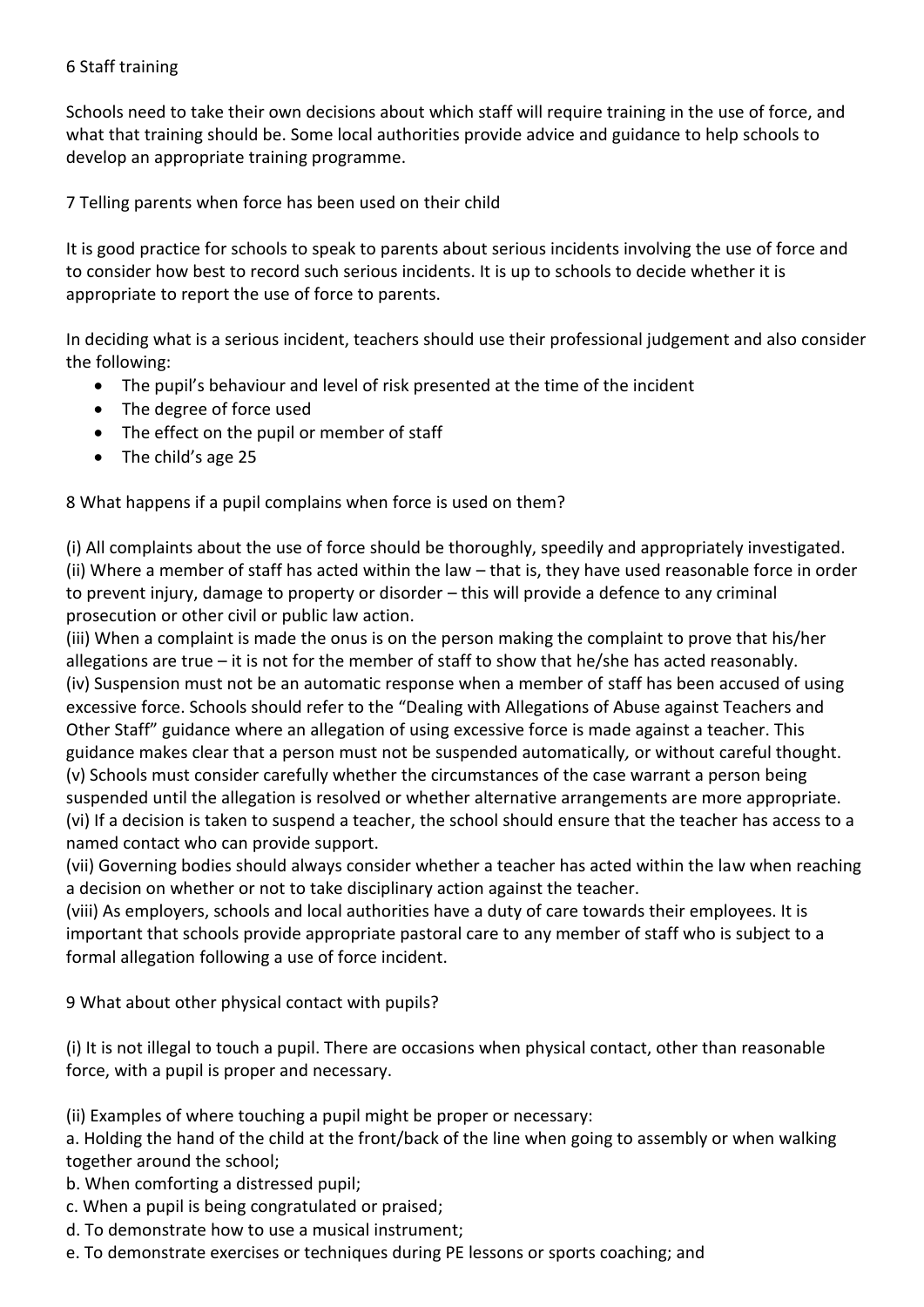## 6 Staff training

Schools need to take their own decisions about which staff will require training in the use of force, and what that training should be. Some local authorities provide advice and guidance to help schools to develop an appropriate training programme.

7 Telling parents when force has been used on their child

It is good practice for schools to speak to parents about serious incidents involving the use of force and to consider how best to record such serious incidents. It is up to schools to decide whether it is appropriate to report the use of force to parents.

In deciding what is a serious incident, teachers should use their professional judgement and also consider the following:

- The pupil's behaviour and level of risk presented at the time of the incident
- The degree of force used
- The effect on the pupil or member of staff
- The child's age 25

8 What happens if a pupil complains when force is used on them?

(i) All complaints about the use of force should be thoroughly, speedily and appropriately investigated. (ii) Where a member of staff has acted within the law – that is, they have used reasonable force in order to prevent injury, damage to property or disorder – this will provide a defence to any criminal prosecution or other civil or public law action.

(iii) When a complaint is made the onus is on the person making the complaint to prove that his/her allegations are true – it is not for the member of staff to show that he/she has acted reasonably. (iv) Suspension must not be an automatic response when a member of staff has been accused of using excessive force. Schools should refer to the "Dealing with Allegations of Abuse against Teachers and Other Staff" guidance where an allegation of using excessive force is made against a teacher. This guidance makes clear that a person must not be suspended automatically*,* or without careful thought. (v) Schools must consider carefully whether the circumstances of the case warrant a person being suspended until the allegation is resolved or whether alternative arrangements are more appropriate. (vi) If a decision is taken to suspend a teacher, the school should ensure that the teacher has access to a named contact who can provide support.

(vii) Governing bodies should always consider whether a teacher has acted within the law when reaching a decision on whether or not to take disciplinary action against the teacher.

(viii) As employers, schools and local authorities have a duty of care towards their employees. It is important that schools provide appropriate pastoral care to any member of staff who is subject to a formal allegation following a use of force incident.

9 What about other physical contact with pupils?

(i) It is not illegal to touch a pupil. There are occasions when physical contact, other than reasonable force, with a pupil is proper and necessary.

(ii) Examples of where touching a pupil might be proper or necessary:

a. Holding the hand of the child at the front/back of the line when going to assembly or when walking together around the school;

- b. When comforting a distressed pupil;
- c. When a pupil is being congratulated or praised;
- d. To demonstrate how to use a musical instrument;
- e. To demonstrate exercises or techniques during PE lessons or sports coaching; and